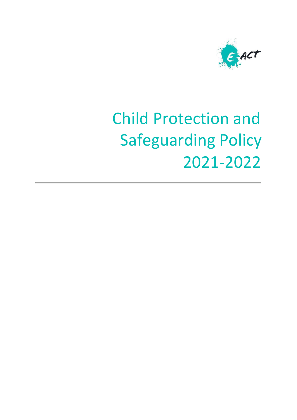

# Child Protection and Safeguarding Policy 2021-2022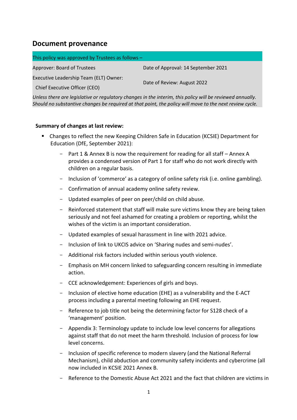## **Document provenance**

| This policy was approved by Trustees as follows -                     |                                     |  |
|-----------------------------------------------------------------------|-------------------------------------|--|
| Approver: Board of Trustees                                           | Date of Approval: 14 September 2021 |  |
| Executive Leadership Team (ELT) Owner:<br>Date of Review: August 2022 |                                     |  |
| Chief Executive Officer (CEO)                                         |                                     |  |

*Unless there are legislative or regulatory changes in the interim, this policy will be reviewed annually. Should no substantive changes be required at that point, the policy will move to the next review cycle.*

#### **Summary of changes at last review:**

- Changes to reflect the new Keeping Children Safe in Education (KCSIE) Department for Education (DfE, September 2021):
	- Part 1 & Annex B is now the requirement for reading for all staff Annex A provides a condensed version of Part 1 for staff who do not work directly with children on a regular basis.
	- Inclusion of 'commerce' as a category of online safety risk (i.e. online gambling).
	- Confirmation of annual academy online safety review.
	- Updated examples of peer on peer/child on child abuse.
	- Reinforced statement that staff will make sure victims know they are being taken seriously and not feel ashamed for creating a problem or reporting, whilst the wishes of the victim is an important consideration.
	- Updated examples of sexual harassment in line with 2021 advice.
	- Inclusion of link to UKCIS advice on 'Sharing nudes and semi-nudes'.
	- Additional risk factors included within serious youth violence.
	- Emphasis on MH concern linked to safeguarding concern resulting in immediate action.
	- CCE acknowledgement: Experiences of girls and boys.
	- Inclusion of elective home education (EHE) as a vulnerability and the E-ACT process including a parental meeting following an EHE request.
	- Reference to job title not being the determining factor for S128 check of a 'management' position.
	- Appendix 3: Terminology update to include low level concerns for allegations against staff that do not meet the harm threshold. Inclusion of process for low level concerns.
	- Inclusion of specific reference to modern slavery (and the National Referral Mechanism), child abduction and community safety incidents and cybercrime (all now included in KCSIE 2021 Annex B.
	- Reference to the Domestic Abuse Act 2021 and the fact that children are victims in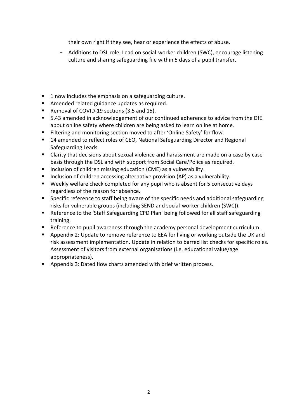their own right if they see, hear or experience the effects of abuse.

- Additions to DSL role: Lead on social-worker children (SWC), encourage listening culture and sharing safeguarding file within 5 days of a pupil transfer.
- 1 now includes the emphasis on a safeguarding culture.
- Amended related guidance updates as required.
- Removal of COVID-19 sections (3.5 and 15).
- 5.43 amended in acknowledgement of our continued adherence to advice from the DfE about online safety where children are being asked to learn online at home.
- Filtering and monitoring section moved to after 'Online Safety' for flow.
- 14 amended to reflect roles of CEO, National Safeguarding Director and Regional Safeguarding Leads.
- Clarity that decisions about sexual violence and harassment are made on a case by case basis through the DSL and with support from Social Care/Police as required.
- Inclusion of children missing education (CME) as a vulnerability.
- Inclusion of children accessing alternative provision (AP) as a vulnerability.
- Weekly welfare check completed for any pupil who is absent for 5 consecutive days regardless of the reason for absence.
- Specific reference to staff being aware of the specific needs and additional safeguarding risks for vulnerable groups (including SEND and social-worker children (SWC)).
- Reference to the 'Staff Safeguarding CPD Plan' being followed for all staff safeguarding training.
- Reference to pupil awareness through the academy personal development curriculum.
- **E** Appendix 2: Update to remove reference to EEA for living or working outside the UK and risk assessment implementation. Update in relation to barred list checks for specific roles. Assessment of visitors from external organisations (i.e. educational value/age appropriateness).
- Appendix 3: Dated flow charts amended with brief written process.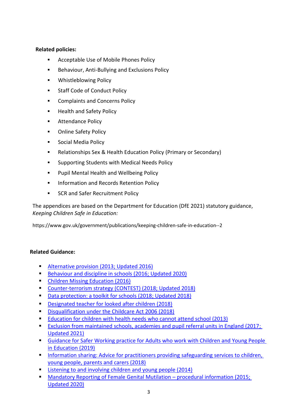#### **Related policies:**

- Acceptable Use of Mobile Phones Policy
- Behaviour, Anti-Bullying and Exclusions Policy
- Whistleblowing Policy
- Staff Code of Conduct Policy
- Complaints and Concerns Policy
- Health and Safety Policy
- Attendance Policy
- Online Safety Policy
- Social Media Policy
- Relationships Sex & Health Education Policy (Primary or Secondary)
- Supporting Students with Medical Needs Policy
- Pupil Mental Health and Wellbeing Policy
- **■** Information and Records Retention Policy
- SCR and Safer Recruitment Policy

The appendices are based on the Department for Education (DfE 2021) statutory guidance, *Keeping Children Safe in Education:* 

https://www.gov.uk/government/publications/keeping-children-safe-in-education--2

#### **Related Guidance:**

- [Alternative provision \(2013; Updated 2016\)](https://www.gov.uk/government/publications/alternative-provision)
- [Behaviour and discipline in schools \(2016; Updated 2020\)](https://www.gov.uk/government/publications/behaviour-and-discipline-in-schools)
- [Children Missing Education \(2016\)](https://www.gov.uk/government/publications/children-missing-education)
- [Counter-terrorism strategy \(CONTEST\) \(2018; Updated 2018\)](https://www.gov.uk/government/publications/counter-terrorism-strategy-contest-2018)
- [Data protection: a toolkit for schools \(2018; Updated 2018\)](https://www.gov.uk/government/publications/data-protection-toolkit-for-schools)
- [Designated teacher for looked after children \(2018\)](https://www.gov.uk/government/publications/designated-teacher-for-looked-after-children)
- **[Disqualification under the Childcare Act 2006 \(2018\)](https://www.gov.uk/government/publications/disqualification-under-the-childcare-act-2006)**
- [Education for children with health needs who cannot attend school \(2013\)](https://www.gov.uk/government/publications/education-for-children-with-health-needs-who-cannot-attend-school)
- Exclusion from maintained schools, academies and pupil referral units in England (2017; [Updated 2021\)](https://www.gov.uk/government/publications/school-exclusion)
- **Example 1** Guidance for Safer Working practice for Adults who work with Children and Young People [in Education \(2019\)](https://www.saferrecruitmentconsortium.org/)
- *[Information sharing: Advice for practitioners providing](https://www.gov.uk/government/publications/safeguarding-practitioners-information-sharing-advice) safeguarding services to children,* [young people, parents and carers \(2018\)](https://www.gov.uk/government/publications/safeguarding-practitioners-information-sharing-advice)
- [Listening to and involving children and young people \(2014\)](https://dera.ioe.ac.uk/19522/1/Listening_to_and_involving_chidren_and_young_people.pdf)
- [Mandatory Reporting of Female Genital Mutilation](https://www.gov.uk/government/publications/mandatory-reporting-of-female-genital-mutilation-procedural-information)  procedural information (2015; [Updated 2020\)](https://www.gov.uk/government/publications/mandatory-reporting-of-female-genital-mutilation-procedural-information)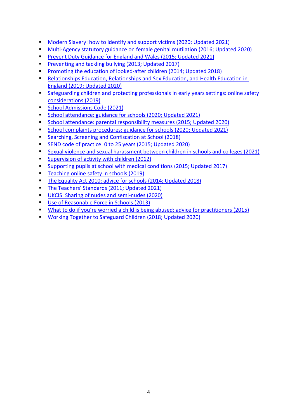- [Modern Slavery: how to identify and support victims \(2020; Updated 2021\)](https://www.gov.uk/government/publications/modern-slavery-how-to-identify-and-support-victims)
- [Multi-Agency statutory guidance on female genital mutilation \(2016; Updated 2020\)](https://www.gov.uk/government/publications/multi-agency-statutory-guidance-on-female-genital-mutilation)
- **[Prevent Duty Guidance for England and Wales \(2015; Updated 2021\)](https://www.gov.uk/government/publications/prevent-duty-guidance)**
- [Preventing and tackling bullying \(2013; Updated 2017\)](https://www.gov.uk/government/publications/preventing-and-tackling-bullying)
- [Promoting the education of looked-after children \(2014; Updated 2018\)](https://www.gov.uk/government/publications/promoting-the-education-of-looked-after-children)
- Relationships Education, Relationships and Sex Education, and Health Education in [England \(2019; Updated 2020\)](https://www.gov.uk/government/publications/relationships-education-relationships-and-sex-education-rse-and-health-education)
- Safeguarding children and protecting professionals in early years settings: online safety [considerations](https://www.gov.uk/government/publications/safeguarding-children-and-protecting-professionals-in-early-years-settings-online-safety-considerations) (2019)
- [School Admissions Code \(2021\)](https://www.gov.uk/government/publications/school-admissions-code--2)
- [School attendance: guidance for schools \(2020; Updated 2021\)](https://www.gov.uk/government/publications/school-attendance)
- [School attendance: parental responsibility measures \(2015; Updated 2020\)](https://www.gov.uk/government/publications/parental-responsibility-measures-for-behaviour-and-attendance)
- [School complaints procedures: guidance for schools \(2020; Updated 2021\)](https://www.gov.uk/government/publications/school-complaints-procedures/best-practice-advice-for-school-complaints-procedures-2019)
- Searching, Screening and Confiscation at School (2018)
- **EXELTE: 0 to 25 years (2015; Updated 2020)**
- **Example 10 [Sexual violence and sexual harassment between children in schools and colleges \(2021\)](https://www.gov.uk/government/publications/sexual-violence-and-sexual-harassment-between-children-in-schools-and-colleges)**
- [Supervision of activity with children \(2012\)](https://www.gov.uk/government/publications/supervision-of-activity-with-children)
- [Supporting pupils at school with medical conditions \(2015; Updated 2017\)](https://www.gov.uk/government/publications/supporting-pupils-at-school-with-medical-conditions--3)
- [Teaching online safety in schools \(2019\)](https://www.gov.uk/government/publications/teaching-online-safety-in-schools)
- The Equality Act 2010: advice for schools (2014: Updated 2018)
- [The Teachers' Standards \(2011; Updated 20](https://www.gov.uk/government/publications/teachers-standards)21)
- [UKCIS: Sharing of nudes and semi-nudes \(2020\)](https://www.gov.uk/government/publications/sharing-nudes-and-semi-nudes-advice-for-education-settings-working-with-children-and-young-people/sharing-nudes-and-semi-nudes-advice-for-education-settings-working-with-children-and-young-people)
- **[Use of Reasonable Force in Schools \(2013\)](https://www.gov.uk/government/publications/use-of-reasonable-force-in-schools)**
- [What to do if you're worried a child is being abused: advice for practitioners \(2015\)](https://www.gov.uk/government/publications/what-to-do-if-youre-worried-a-child-is-being-abused--2)
- [Working Together to Safeguard Children \(2018; Updated 2020\)](https://www.gov.uk/government/publications/working-together-to-safeguard-children--2)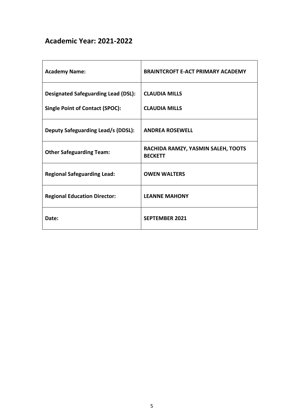## **Academic Year: 2021-2022**

| <b>Academy Name:</b>                       | <b>BRAINTCROFT E-ACT PRIMARY ACADEMY</b>             |
|--------------------------------------------|------------------------------------------------------|
| <b>Designated Safeguarding Lead (DSL):</b> | <b>CLAUDIA MILLS</b>                                 |
| <b>Single Point of Contact (SPOC):</b>     | <b>CLAUDIA MILLS</b>                                 |
| Deputy Safeguarding Lead/s (DDSL):         | <b>ANDREA ROSEWELL</b>                               |
| <b>Other Safeguarding Team:</b>            | RACHIDA RAMZY, YASMIN SALEH, TOOTS<br><b>BECKETT</b> |
| <b>Regional Safeguarding Lead:</b>         | <b>OWEN WALTERS</b>                                  |
| <b>Regional Education Director:</b>        | <b>LEANNE MAHONY</b>                                 |
| Date:                                      | <b>SEPTEMBER 2021</b>                                |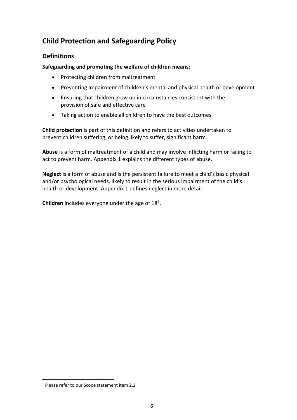## **Child Protection and Safeguarding Policy**

## **Definitions**

## **Safeguarding and promoting the welfare of children means**:

- Protecting children from maltreatment
- Preventing impairment of children's mental and physical health or development
- Ensuring that children grow up in circumstances consistent with the provision of safe and effective care
- Taking action to enable all children to have the best outcomes.

**Child protection** is part of this definition and refers to activities undertaken to prevent children suffering, or being likely to suffer, significant harm.

**Abuse** is a form of maltreatment of a child and may involve inflicting harm or failing to act to prevent harm. Appendix 1 explains the different types of abuse.

**Neglect** is a form of abuse and is the persistent failure to meet a child's basic physical and/or psychological needs, likely to result in the serious impairment of the child's health or development. Appendix 1 defines neglect in more detail.

Children includes everyone under the age of 18<sup>1</sup>.

1

<sup>1</sup> Please refer to our Scope statement item 2.2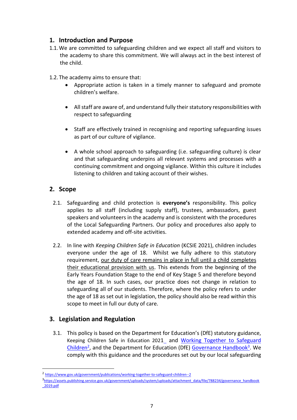## **1. Introduction and Purpose**

- 1.1.We are committed to safeguarding children and we expect all staff and visitors to the academy to share this commitment. We will always act in the best interest of the child.
- 1.2. The academy aims to ensure that:
	- Appropriate action is taken in a timely manner to safeguard and promote children's welfare.
	- All staff are aware of, and understand fully their statutory responsibilities with respect to safeguarding
	- Staff are effectively trained in recognising and reporting safeguarding issues as part of our culture of vigilance.
	- A whole school approach to safeguarding (i.e. safeguarding culture) is clear and that safeguarding underpins all relevant systems and processes with a continuing commitment and ongoing vigilance. Within this culture it includes listening to children and taking account of their wishes.

## **2. Scope**

**.** 

- 2.1. Safeguarding and child protection is **everyone's** responsibility. This policy applies to all staff (including supply staff), trustees, ambassadors, guest speakers and volunteers in the academy and is consistent with the procedures of the Local Safeguarding Partners. Our policy and procedures also apply to extended academy and off-site activities.
- 2.2. In line with *Keeping Children Safe in Education* (KCSIE 2021), children includes everyone under the age of 18. Whilst we fully adhere to this statutory requirement, our duty of care remains in place in full until a child completes their educational provision with us. This extends from the beginning of the Early Years Foundation Stage to the end of Key Stage 5 and therefore beyond the age of 18. In such cases, our practice does not change in relation to safeguarding all of our students. Therefore, where the policy refers to under the age of 18 as set out in legislation, the policy should also be read within this scope to meet in full our duty of care.

## **3. Legislation and Regulation**

3.1. This policy is based on the Department for Education's (DfE) statutory guidance, Keeping Children Safe in Education 2021 and [Working Together to Safeguard](https://www.gov.uk/government/publications/working-together-to-safeguard-children--2)  [Children](https://www.gov.uk/government/publications/working-together-to-safeguard-children--2)<sup>2</sup>, and the Department for Education (DfE) [Governance Handbook](https://www.gov.uk/government/publications/governance-handbook)<sup>3</sup>. We comply with this guidance and the procedures set out by our local safeguarding

<sup>&</sup>lt;sup>2</sup> <https://www.gov.uk/government/publications/working-together-to-safeguard-children--2>

<sup>3</sup>[https://assets.publishing.service.gov.uk/government/uploads/system/uploads/attachment\\_data/file/788234/governance\\_handbook](https://assets.publishing.service.gov.uk/government/uploads/system/uploads/attachment_data/file/788234/governance_handbook_2019.pdf) [\\_2019.pdf](https://assets.publishing.service.gov.uk/government/uploads/system/uploads/attachment_data/file/788234/governance_handbook_2019.pdf)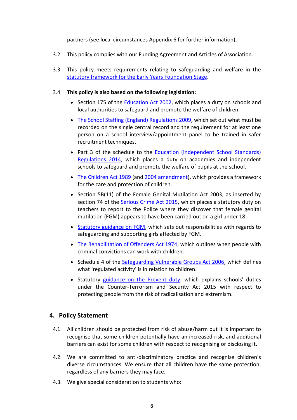partners (see local circumstances Appendix 6 for further information).

- 3.2. This policy complies with our Funding Agreement and Articles of Association.
- 3.3. This policy meets requirements relating to safeguarding and welfare in the [statutory framework](https://www.gov.uk/government/publications/early-years-foundation-stage-framework--2) [for the Early Years Foundation](https://www.gov.uk/government/publications/early-years-foundation-stage-framework--2) Stage.

#### 3.4. **This policy is also based on the following legislation:**

- Section 175 of the [Education Act 2002, w](http://www.legislation.gov.uk/ukpga/2002/32/section/175)hich places a duty on schools and local authorities to safeguard and promote the welfare of children.
- [The School Staffing \(England\) Regulations 2009, w](http://www.legislation.gov.uk/uksi/2009/2680/contents/made)hich set out what must be recorded on the single central record and the requirement for at least one person on a school interview/appointment panel to be trained in safer recruitment techniques.
- Part 3 of the schedule to the [Education \(Independent School Standards\)](http://www.legislation.gov.uk/uksi/2014/3283/schedule/part/3/made)  [Regulations 2014, w](http://www.legislation.gov.uk/uksi/2014/3283/schedule/part/3/made)hich places a duty on academies and independent schools to safeguard and promote the welfare of pupils at the school.
- [The Children Act 1989](http://www.legislation.gov.uk/ukpga/1989/41) (and [2004 amendment\)](http://www.legislation.gov.uk/ukpga/2004/31/contents), which provides a framework for the care and protection of children.
- Section 5B(11) of the Female Genital Mutilation Act 2003, as inserted by section 74 of the [Serious Crime Act 2015, w](http://www.legislation.gov.uk/ukpga/2015/9/part/5/crossheading/female-genital-mutilation)hich places a statutory duty on teachers to report to the Police where they discover that female genital mutilation (FGM) appears to have been carried out on a girl under 18.
- [Statutory guidance on FGM,](https://www.gov.uk/government/publications/multi-agency-statutory-guidance-on-female-genital-mutilation) which sets out responsibilities with regards to safeguarding and supporting girls affected by FGM.
- [The Rehabilitation of Offenders Act 1974, w](http://www.legislation.gov.uk/ukpga/1974/53)hich outlines when people with criminal convictions can work with children.
- Schedule 4 of the [Safeguarding Vulnerable Groups Act 2006, w](http://www.legislation.gov.uk/ukpga/2006/47/schedule/4)hich defines what 'regulated activity' is in relation to children.
- Statutory [guidance on the Prevent duty,](https://www.gov.uk/government/publications/prevent-duty-guidance) which explains schools' duties under the Counter-Terrorism and Security Act 2015 with respect to protecting people from the risk of radicalisation and extremism.

## **4. Policy Statement**

- 4.1. All children should be protected from risk of abuse/harm but it is important to recognise that some children potentially have an increased risk, and additional barriers can exist for some children with respect to recognising or disclosing it.
- 4.2. We are committed to anti-discriminatory practice and recognise children's diverse circumstances. We ensure that all children have the same protection, regardless of any barriers they may face.
- 4.3. We give special consideration to students who: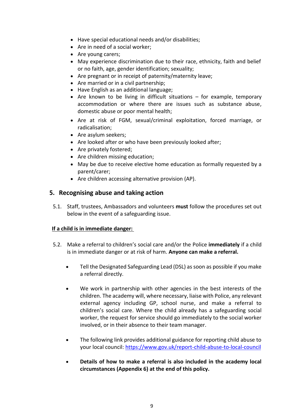- Have special educational needs and/or disabilities;
- Are in need of a social worker;
- Are young carers;
- May experience discrimination due to their race, ethnicity, faith and belief or no faith, age, gender identification; sexuality;
- Are pregnant or in receipt of paternity/maternity leave;
- Are married or in a civil partnership;
- Have English as an additional language;
- Are known to be living in difficult situations for example, temporary accommodation or where there are issues such as substance abuse, domestic abuse or poor mental health;
- Are at risk of FGM, sexual/criminal exploitation, forced marriage, or radicalisation;
- Are asylum seekers;
- Are looked after or who have been previously looked after;
- Are privately fostered;
- Are children missing education;
- May be due to receive elective home education as formally requested by a parent/carer;
- Are children accessing alternative provision (AP).

#### **5. Recognising abuse and taking action**

5.1. Staff, trustees, Ambassadors and volunteers **must** follow the procedures set out below in the event of a safeguarding issue.

#### **If a child is in immediate danger:**

- 5.2. Make a referral to children's social care and/or the Police **immediately** if a child is in immediate danger or at risk of harm. **Anyone can make a referral.**
	- Tell the Designated Safeguarding Lead (DSL) as soon as possible if you make a referral directly.
	- We work in partnership with other agencies in the best interests of the children. The academy will, where necessary, liaise with Police, any relevant external agency including GP, school nurse, and make a referral to children's social care. Where the child already has a safeguarding social worker, the request for service should go immediately to the social worker involved, or in their absence to their team manager.
	- The following link provides additional guidance for reporting child abuse to your local council: <https://www.gov.uk/report-child-abuse-to-local-council>
	- **Details of how to make a referral is also included in the academy local circumstances (Appendix 6) at the end of this policy.**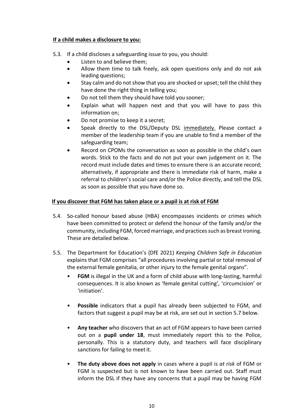#### **If a child makes a disclosure to you:**

- 5.3. If a child discloses a safeguarding issue to you, you should:
	- Listen to and believe them;
	- Allow them time to talk freely, ask open questions only and do not ask leading questions;
	- Stay calm and do not show that you are shocked or upset; tell the child they have done the right thing in telling you;
	- Do not tell them they should have told you sooner;
	- Explain what will happen next and that you will have to pass this information on;
	- Do not promise to keep it a secret;
	- Speak directly to the DSL/Deputy DSL immediately. Please contact a member of the leadership team if you are unable to find a member of the safeguarding team;
	- Record on CPOMs the conversation as soon as possible in the child's own words. Stick to the facts and do not put your own judgement on it. The record must include dates and times to ensure there is an accurate record; alternatively, if appropriate and there is immediate risk of harm, make a referral to children's social care and/or the Police directly, and tell the DSL as soon as possible that you have done so.

#### **If you discover that FGM has taken place or a pupil is at risk of FGM**

- 5.4. So-called honour based abuse (HBA) encompasses incidents or crimes which have been committed to protect or defend the honour of the family and/or the community, including FGM, forced marriage, and practices such as breast ironing. These are detailed below.
- 5.5. The Department for Education's (DfE 2021) *Keeping Children Safe in Education* explains that FGM comprises "all procedures involving partial or total removal of the external female genitalia, or other injury to the female genital organs".
	- **FGM** is illegal in the UK and a form of child abuse with long-lasting, harmful consequences. It is also known as 'female genital cutting', 'circumcision' or 'initiation'.
	- **Possible** indicators that a pupil has already been subjected to FGM, and factors that suggest a pupil may be at risk, are set out in section 5.7 below.
	- **Any teacher** who discovers that an act of FGM appears to have been carried out on a **pupil under 18**, must immediately report this to the Police, personally. This is a statutory duty, and teachers will face disciplinary sanctions for failing to meet it.
	- **The duty above does not apply** in cases where a pupil is *at risk* of FGM or FGM is suspected but is not known to have been carried out. Staff must inform the DSL if they have any concerns that a pupil may be having FGM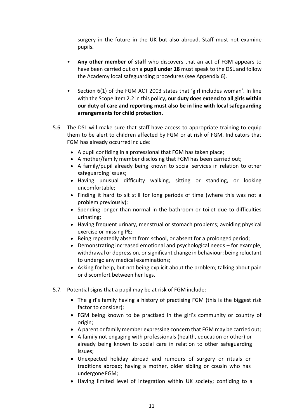surgery in the future in the UK but also abroad. Staff must not examine pupils.

- **Any other member of staff** who discovers that an act of FGM appears to have been carried out on a **pupil under 18** must speak to the DSL and follow the Academy local safeguarding procedures (see Appendix 6).
- Section 6(1) of the FGM ACT 2003 states that 'girl includes woman'. In line with the Scope item 2.2 in this policy**, our duty does extend to all girls within our duty of care and reporting must also be in line with local safeguarding arrangements for child protection.**
- 5.6. The DSL will make sure that staff have access to appropriate training to equip them to be alert to children affected by FGM or at risk of FGM. Indicators that FGM has already occurredinclude:
	- A pupil confiding in a professional that FGM has taken place;
	- A mother/family member disclosing that FGM has been carried out;
	- A family/pupil already being known to social services in relation to other safeguarding issues;
	- Having unusual difficulty walking, sitting or standing, or looking uncomfortable;
	- Finding it hard to sit still for long periods of time (where this was not a problem previously);
	- Spending longer than normal in the bathroom or toilet due to difficulties urinating;
	- Having frequent urinary, menstrual or stomach problems; avoiding physical exercise or missing PE;
	- Being repeatedly absent from school, or absent for a prolonged period;
	- Demonstrating increased emotional and psychological needs for example, withdrawal or depression, or significant change in behaviour; being reluctant to undergo any medical examinations;
	- Asking for help, but not being explicit about the problem; talking about pain or discomfort between her legs.
- 5.7. Potential signs that a pupil may be at risk of FGM include:
	- The girl's family having a history of practising FGM (this is the biggest risk factor to consider);
	- FGM being known to be practised in the girl's community or country of origin;
	- A parent or family member expressing concern that FGM may be carriedout;
	- A family not engaging with professionals (health, education or other) or already being known to social care in relation to other safeguarding issues;
	- Unexpected holiday abroad and rumours of surgery or rituals or traditions abroad; having a mother, older sibling or cousin who has undergone FGM;
	- Having limited level of integration within UK society; confiding to a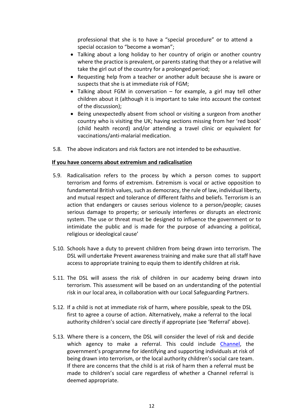professional that she is to have a "special procedure" or to attend a special occasion to "become a woman";

- Talking about a long holiday to her country of origin or another country where the practice is prevalent, or parents stating that they or a relative will take the girl out of the country for a prolonged period;
- Requesting help from a teacher or another adult because she is aware or suspects that she is at immediate risk of FGM;
- Talking about FGM in conversation for example, a girl may tell other children about it (although it is important to take into account the context of the discussion);
- Being unexpectedly absent from school or visiting a surgeon from another country who is visiting the UK; having sections missing from her 'red book' (child health record) and/or attending a travel clinic or equivalent for vaccinations/anti-malarial medication.
- 5.8. The above indicators and risk factors are not intended to be exhaustive.

#### **If you have concerns about extremism and radicalisation**

- 5.9. Radicalisation refers to the process by which a person comes to support terrorism and forms of extremism. Extremism is vocal or active opposition to fundamental British values, such as democracy, the rule of law, individual liberty, and mutual respect and tolerance of different faiths and beliefs. Terrorism is an action that endangers or causes serious violence to a person/people; causes serious damage to property; or seriously interferes or disrupts an electronic system. The use or threat must be designed to influence the government or to intimidate the public and is made for the purpose of advancing a political, religious or ideological cause'
- 5.10. Schools have a duty to prevent children from being drawn into terrorism. The DSL will undertake Prevent awareness training and make sure that all staff have access to appropriate training to equip them to identify children at risk.
- 5.11. The DSL will assess the risk of children in our academy being drawn into terrorism. This assessment will be based on an understanding of the potential risk in our local area, in collaboration with our Local Safeguarding Partners.
- 5.12. If a child is not at immediate risk of harm, where possible, speak to the DSL first to agree a course of action. Alternatively, make a referral to the local authority children's social care directly if appropriate (see 'Referral' above).
- 5.13. Where there is a concern, the DSL will consider the level of risk and decide which agency to make a referral. This could include [Channel, t](https://www.gov.uk/government/publications/channel-guidance)he government's programme for identifying and supporting individuals at risk of being drawn into terrorism, or the local authority children's social care team. If there are concerns that the child is at risk of harm then a referral must be made to children's social care regardless of whether a Channel referral is deemed appropriate.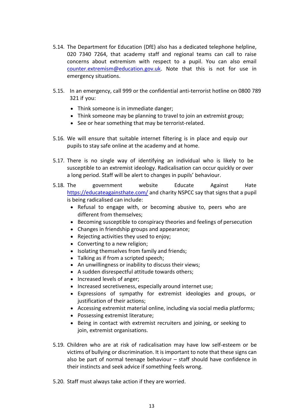- 5.14. The Department for Education (DfE) also has a dedicated telephone helpline, 020 7340 7264, that academy staff and regional teams can call to raise concerns about extremism with respect to a pupil. You can also email [counter.extremism@education.gov.uk.](mailto:counter.extremism@education.gov.uk) Note that this is not for use in emergency situations.
- 5.15. In an emergency, call 999 or the confidential anti-terrorist hotline on 0800 789 321 if you:
	- Think someone is in immediate danger;
	- Think someone may be planning to travel to join an extremist group;
	- See or hear something that may be terrorist-related.
- 5.16. We will ensure that suitable internet filtering is in place and equip our pupils to stay safe online at the academy and at home.
- 5.17. There is no single way of identifying an individual who is likely to be susceptible to an extremist ideology. Radicalisation can occur quickly or over a long period. Staff will be alert to changes in pupils' behaviour.
- 5.18. The government website Educate Against Hate <https://educateagainsthate.com/> and charity NSPCC say that signs that a pupil is being radicalised can include:
	- Refusal to engage with, or becoming abusive to, peers who are different from themselves;
	- Becoming susceptible to conspiracy theories and feelings of persecution
	- Changes in friendship groups and appearance;
	- Rejecting activities they used to enjoy;
	- Converting to a new religion;
	- Isolating themselves from family and friends;
	- Talking as if from a scripted speech;
	- An unwillingness or inability to discuss their views;
	- A sudden disrespectful attitude towards others;
	- Increased levels of anger;
	- Increased secretiveness, especially around internet use;
	- Expressions of sympathy for extremist ideologies and groups, or justification of their actions;
	- Accessing extremist material online, including via social media platforms;
	- Possessing extremist literature;
	- Being in contact with extremist recruiters and joining, or seeking to join, extremist organisations.
- 5.19. Children who are at risk of radicalisation may have low self-esteem or be victims of bullying or discrimination. It is important to note that these signs can also be part of normal teenage behaviour – staff should have confidence in their instincts and seek advice if something feels wrong.
- 5.20. Staff must always take action if they are worried.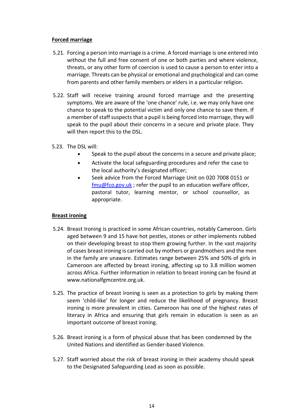#### **Forced marriage**

- 5.21. Forcing a person into marriage is a crime. A forced marriage is one entered into without the full and free consent of one or both parties and where violence, threats, or any other form of coercion is used to cause a person to enter into a marriage. Threats can be physical or emotional and psychological and can come from parents and other family members or elders in a particular religion.
- 5.22. Staff will receive training around forced marriage and the presenting symptoms. We are aware of the 'one chance' rule, i.e. we may only have one chance to speak to the potential victim and only one chance to save them. If a member of staff suspects that a pupil is being forced into marriage, they will speak to the pupil about their concerns in a secure and private place. They will then report this to the DSL.
- 5.23. The DSL will:
	- Speak to the pupil about the concerns in a secure and private place;
	- Activate the local safeguarding procedures and refer the case to the local authority's designated officer;
	- Seek advice from the Forced Marriage Unit on 020 7008 0151 o[r](mailto:fmu@fco.gov.uk) [fmu@fco.gov.uk](mailto:fmu@fco.gov.uk); refer the pupil to an education welfare officer, pastoral tutor, learning mentor, or school counsellor, as appropriate.

#### **Breast ironing**

- 5.24. Breast Ironing is practiced in some African countries, notably Cameroon. Girls aged between 9 and 15 have hot pestles, stones or other implements rubbed on their developing breast to stop them growing further. In the vast majority of cases breast ironing is carried out by mothers or grandmothers and the men in the family are unaware. Estimates range between 25% and 50% of girls in Cameroon are affected by breast ironing, affecting up to 3.8 million women across Africa. Further information in relation to breast ironing can be found at www.nationalfgmcentre.org.uk.
- 5.25. The practice of breast ironing is seen as a protection to girls by making them seem 'child-like' for longer and reduce the likelihood of pregnancy. Breast ironing is more prevalent in cities. Cameroon has one of the highest rates of literacy in Africa and ensuring that girls remain in education is seen as an important outcome of breast ironing.
- 5.26. Breast ironing is a form of physical abuse that has been condemned by the United Nations and identified as Gender-based Violence.
- 5.27. Staff worried about the risk of breast ironing in their academy should speak to the Designated Safeguarding Lead as soon as possible.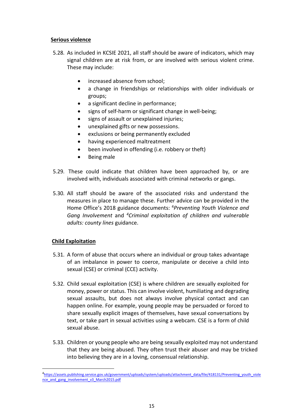#### **Serious violence**

- 5.28. As included in KCSIE 2021, all staff should be aware of indicators, which may signal children are at risk from, or are involved with serious violent crime. These may include:
	- increased absence from school;
	- a change in friendships or relationships with older individuals or groups;
	- a significant decline in performance;
	- signs of self-harm or significant change in well-being;
	- signs of assault or unexplained injuries;
	- unexplained gifts or new possessions.
	- exclusions or being permanently excluded
	- having experienced maltreatment
	- been involved in offending (i.e. robbery or theft)
	- Being male
- 5.29. These could indicate that children have been approached by, or are involved with, individuals associated with criminal networks or gangs.
- 5.30. All staff should be aware of the associated risks and understand the measures in place to manage these. Further advice can be provided in the Home Office's 2018 guidance documents: <sup>4</sup>*Preventing Youth Violence and Gang Involvement* and *<sup>4</sup>Criminal exploitation of children and vulnerable adults: county lines* guidance.

#### **Child Exploitation**

**.** 

- 5.31. A form of abuse that occurs where an individual or group takes advantage of an imbalance in power to coerce, manipulate or deceive a child into sexual (CSE) or criminal (CCE) activity.
- 5.32. Child sexual exploitation (CSE) is where children are sexually exploited for money, power or status. This can involve violent, humiliating and degrading sexual assaults, but does not always involve physical contact and can happen online. For example, young people may be persuaded or forced to share sexually explicit images of themselves, have sexual conversations by text, or take part in sexual activities using a webcam. CSE is a form of child sexual abuse.
- 5.33. Children or young people who are being sexually exploited may not understand that they are being abused. They often trust their abuser and may be tricked into believing they are in a loving, consensual relationship.

<sup>4</sup>[https://assets.publishing.service.gov.uk/government/uploads/system/uploads/attachment\\_data/file/418131/Preventing\\_youth\\_viole](https://assets.publishing.service.gov.uk/government/uploads/system/uploads/attachment_data/file/418131/Preventing_youth_violence_and_gang_involvement_v3_March2015.pdf) [nce\\_and\\_gang\\_involvement\\_v3\\_March2015.pdf](https://assets.publishing.service.gov.uk/government/uploads/system/uploads/attachment_data/file/418131/Preventing_youth_violence_and_gang_involvement_v3_March2015.pdf)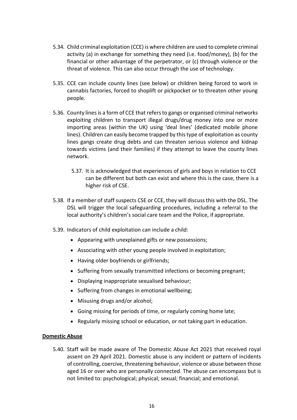- 5.34. Child criminal exploitation (CCE) is where children are used to complete criminal activity (a) in exchange for something they need (i.e. food/money), (b) for the financial or other advantage of the perpetrator, or (c) through violence or the threat of violence. This can also occur through the use of technology.
- 5.35. CCE can include county lines (see below) or children being forced to work in cannabis factories, forced to shoplift or pickpocket or to threaten other young people.
- 5.36. County lines is a form of CCE that refers to gangs or organised criminal networks exploiting children to transport illegal drugs/drug money into one or more importing areas (within the UK) using 'deal lines' (dedicated mobile phone lines). Children can easily become trapped by this type of exploitation as county lines gangs create drug debts and can threaten serious violence and kidnap towards victims (and their families) if they attempt to leave the county lines network.
	- 5.37. It is acknowledged that experiences of girls and boys in relation to CCE can be different but both can exist and where this is the case, there is a higher risk of CSE.
- 5.38. If a member of staff suspects CSE or CCE, they will discuss this with the DSL. The DSL will trigger the local safeguarding procedures, including a referral to the local authority's children's social care team and the Police, if appropriate.
- 5.39. Indicators of child exploitation can include a child:
	- Appearing with unexplained gifts or new possessions;
	- Associating with other young people involved in exploitation;
	- Having older boyfriends or girlfriends;
	- Suffering from sexually transmitted infections or becoming pregnant;
	- Displaying inappropriate sexualised behaviour;
	- Suffering from changes in emotional wellbeing;
	- Misusing drugs and/or alcohol;
	- Going missing for periods of time, or regularly coming home late;
	- Regularly missing school or education, or not taking part in education.

#### **Domestic Abuse**

5.40. Staff will be made aware of The Domestic Abuse Act 2021 that received royal assent on 29 April 2021. Domestic abuse is any incident or pattern of incidents of controlling, coercive, threatening behaviour, violence or abuse between those aged 16 or over who are personally connected. The abuse can encompass but is not limited to: psychological; physical; sexual; financial; and emotional.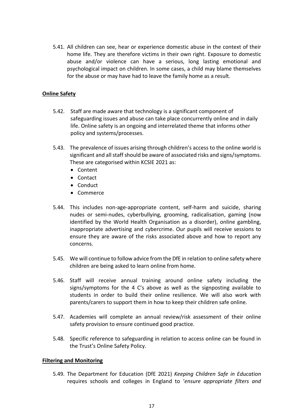5.41. All children can see, hear or experience domestic abuse in the context of their home life. They are therefore victims in their own right. Exposure to domestic abuse and/or violence can have a serious, long lasting emotional and psychological impact on children. In some cases, a child may blame themselves for the abuse or may have had to leave the family home as a result.

#### **Online Safety**

- 5.42. Staff are made aware that technology is a significant component of safeguarding issues and abuse can take place concurrently online and in daily life. Online safety is an ongoing and interrelated theme that informs other policy and systems/processes.
- 5.43. The prevalence of issues arising through children's access to the online world is significant and all staff should be aware of associated risks and signs/symptoms. These are categorised within KCSIE 2021 as:
	- Content
	- Contact
	- Conduct
	- Commerce
- 5.44. This includes non-age-appropriate content, self-harm and suicide, sharing nudes or semi-nudes, cyberbullying, grooming, radicalisation, gaming (now identified by the World Health Organisation as a disorder), online gambling, inappropriate advertising and cybercrime. Our pupils will receive sessions to ensure they are aware of the risks associated above and how to report any concerns.
- 5.45. We will continue to follow advice from the DfE in relation to online safety where children are being asked to learn online from home.
- 5.46. Staff will receive annual training around online safety including the signs/symptoms for the 4 C's above as well as the signposting available to students in order to build their online resilience. We will also work with parents/carers to support them in how to keep their children safe online.
- 5.47. Academies will complete an annual review/risk assessment of their online safety provision to ensure continued good practice.
- 5.48. Specific reference to safeguarding in relation to access online can be found in the Trust's Online Safety Policy.

#### **Filtering and Monitoring**

5.49. The Department for Education (DfE 2021) *Keeping Children Safe in Education*  requires schools and colleges in England to '*ensure appropriate filters and*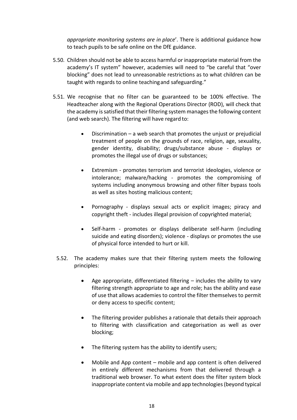*appropriate monitoring systems are in place*'. There is additional guidance how to teach pupils to be safe online on the DfE guidance.

- 5.50. Children should not be able to access harmful or inappropriate material from the academy's IT system" however, academies will need to "be careful that "over blocking" does not lead to unreasonable restrictions as to what children can be taught with regards to online teachingand safeguarding."
- 5.51. We recognise that no filter can be guaranteed to be 100% effective. The Headteacher along with the Regional Operations Director (ROD), will check that the academy is satisfied that their filtering system manages the following content (and web search). The filtering will have regard to:
	- Discrimination a web search that promotes the unjust or prejudicial treatment of people on the grounds of race, religion, age, sexuality, gender identity, disability; drugs/substance abuse - displays or promotes the illegal use of drugs or substances;
	- Extremism promotes terrorism and terrorist ideologies, violence or intolerance; malware/hacking - promotes the compromising of systems including anonymous browsing and other filter bypass tools as well as sites hosting malicious content;
	- Pornography displays sexual acts or explicit images; piracy and copyright theft - includes illegal provision of copyrighted material;
	- Self-harm promotes or displays deliberate self-harm (including suicide and eating disorders); violence - displays or promotes the use of physical force intended to hurt or kill.
	- 5.52. The academy makes sure that their filtering system meets the following principles:
		- Age appropriate, differentiated filtering includes the ability to vary filtering strength appropriate to age and role; has the ability and ease of use that allows academies to control the filter themselves to permit or deny access to specific content;
		- The filtering provider publishes a rationale that details their approach to filtering with classification and categorisation as well as over blocking;
		- The filtering system has the ability to identify users;
		- Mobile and App content  $-$  mobile and app content is often delivered in entirely different mechanisms from that delivered through a traditional web browser. To what extent does the filter system block inappropriate content via mobile and app technologies (beyond typical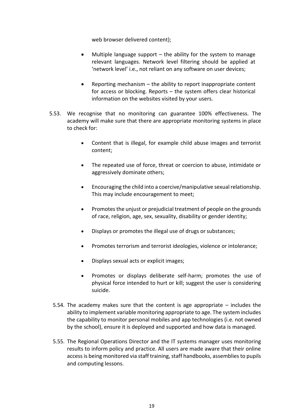web browser delivered content);

- Multiple language support the ability for the system to manage relevant languages. Network level filtering should be applied at 'network level' i.e., not reliant on any software on user devices;
- Reporting mechanism the ability to report inappropriate content for access or blocking. Reports – the system offers clear historical information on the websites visited by your users.
- 5.53. We recognise that no monitoring can guarantee 100% effectiveness. The academy will make sure that there are appropriate monitoring systems in place to check for:
	- Content that is illegal, for example child abuse images and terrorist content;
	- The repeated use of force, threat or coercion to abuse, intimidate or aggressively dominate others;
	- Encouraging the child into a coercive/manipulative sexual relationship. This may include encouragement to meet;
	- Promotes the unjust or prejudicial treatment of people on the grounds of race, religion, age, sex, sexuality, disability or gender identity;
	- Displays or promotes the illegal use of drugs or substances;
	- Promotes terrorism and terrorist ideologies, violence or intolerance;
	- Displays sexual acts or explicit images;
	- Promotes or displays deliberate self-harm; promotes the use of physical force intended to hurt or kill; suggest the user is considering suicide.
	- 5.54. The academy makes sure that the content is age appropriate includes the ability to implement variable monitoring appropriate to age. The system includes the capability to monitor personal mobiles and app technologies (i.e. not owned by the school), ensure it is deployed and supported and how data is managed.
	- 5.55. The Regional Operations Director and the IT systems manager uses monitoring results to inform policy and practice. All users are made aware that their online access is being monitored via staff training, staff handbooks, assemblies to pupils and computing lessons.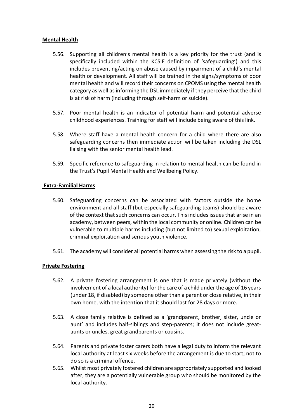#### **Mental Health**

- 5.56. Supporting all children's mental health is a key priority for the trust (and is specifically included within the KCSIE definition of 'safeguarding') and this includes preventing/acting on abuse caused by impairment of a child's mental health or development. All staff will be trained in the signs/symptoms of poor mental health and will record their concerns on CPOMS using the mental health category as well as informing the DSL immediately if they perceive that the child is at risk of harm (including through self-harm or suicide).
- 5.57. Poor mental health is an indicator of potential harm and potential adverse childhood experiences. Training for staff will include being aware of this link.
- 5.58. Where staff have a mental health concern for a child where there are also safeguarding concerns then immediate action will be taken including the DSL liaising with the senior mental health lead.
- 5.59. Specific reference to safeguarding in relation to mental health can be found in the Trust's Pupil Mental Health and Wellbeing Policy.

#### **Extra-Familial Harms**

- 5.60. Safeguarding concerns can be associated with factors outside the home environment and all staff (but especially safeguarding teams) should be aware of the context that such concerns can occur. This includes issues that arise in an academy, between peers, within the local community or online. Children can be vulnerable to multiple harms including (but not limited to) sexual exploitation, criminal exploitation and serious youth violence.
- 5.61. The academy will consider all potential harms when assessing the risk to a pupil.

#### **Private Fostering**

- 5.62. A private fostering arrangement is one that is made privately (without the involvement of a local authority) for the care of a child under the age of 16 years (under 18, if disabled) by someone other than a parent or close relative, in their own home, with the intention that it should last for 28 days or more.
- 5.63. A close family relative is defined as a 'grandparent, brother, sister, uncle or aunt' and includes half-siblings and step-parents; it does not include greataunts or uncles, great grandparents or cousins.
- 5.64. Parents and private foster carers both have a legal duty to inform the relevant local authority at least six weeks before the arrangement is due to start; not to do so is a criminal offence.
- 5.65. Whilst most privately fostered children are appropriately supported and looked after, they are a potentially vulnerable group who should be monitored by the local authority.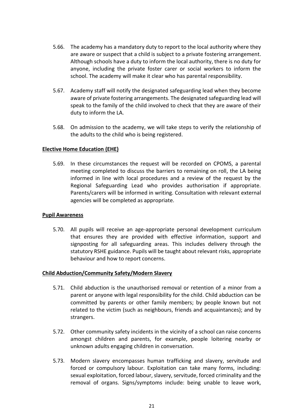- 5.66. The academy has a mandatory duty to report to the local authority where they are aware or suspect that a child is subject to a private fostering arrangement. Although schools have a duty to inform the local authority, there is no duty for anyone, including the private foster carer or social workers to inform the school. The academy will make it clear who has parental responsibility.
- 5.67. Academy staff will notify the designated safeguarding lead when they become aware of private fostering arrangements. The designated safeguarding lead will speak to the family of the child involved to check that they are aware of their duty to inform the LA.
- 5.68. On admission to the academy, we will take steps to verify the relationship of the adults to the child who is being registered.

#### **Elective Home Education (EHE)**

5.69. In these circumstances the request will be recorded on CPOMS, a parental meeting completed to discuss the barriers to remaining on roll, the LA being informed in line with local procedures and a review of the request by the Regional Safeguarding Lead who provides authorisation if appropriate. Parents/carers will be informed in writing. Consultation with relevant external agencies will be completed as appropriate.

#### **Pupil Awareness**

5.70. All pupils will receive an age-appropriate personal development curriculum that ensures they are provided with effective information, support and signposting for all safeguarding areas. This includes delivery through the statutory RSHE guidance. Pupils will be taught about relevant risks, appropriate behaviour and how to report concerns.

#### **Child Abduction/Community Safety/Modern Slavery**

- 5.71. Child abduction is the unauthorised removal or retention of a minor from a parent or anyone with legal responsibility for the child. Child abduction can be committed by parents or other family members; by people known but not related to the victim (such as neighbours, friends and acquaintances); and by strangers.
- 5.72. Other community safety incidents in the vicinity of a school can raise concerns amongst children and parents, for example, people loitering nearby or unknown adults engaging children in conversation.
- 5.73. Modern slavery encompasses human trafficking and slavery, servitude and forced or compulsory labour. Exploitation can take many forms, including: sexual exploitation, forced labour, slavery, servitude, forced criminality and the removal of organs. Signs/symptoms include: being unable to leave work,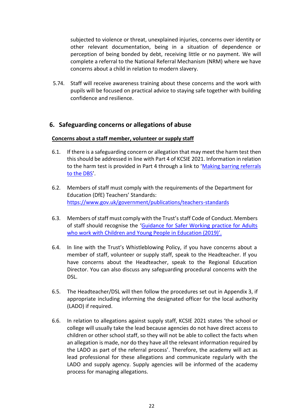subjected to violence or threat, unexplained injuries, concerns over identity or other relevant documentation, being in a situation of dependence or perception of being bonded by debt, receiving little or no payment. We will complete a referral to the National Referral Mechanism (NRM) where we have concerns about a child in relation to modern slavery.

5.74. Staff will receive awareness training about these concerns and the work with pupils will be focused on practical advice to staying safe together with building confidence and resilience.

#### **6. Safeguarding concerns or allegations of abuse**

#### **Concerns about a staff member, volunteer or supply staff**

- 6.1. If there is a safeguarding concern or allegation that may meet the harm test then this should be addressed in line with Part 4 of KCSIE 2021. Information in relation to the harm test is provided in Part 4 through a link to '[Making barring referrals](https://www.gov.uk/guidance/making-barring-referrals-to-the-dbs)  [to the DBS](https://www.gov.uk/guidance/making-barring-referrals-to-the-dbs)'.
- 6.2. Members of staff must comply with the requirements of the Department for Education (DfE) Teachers' Standards: <https://www.gov.uk/government/publications/teachers-standards>
- 6.3. Members of staff must comply with the Trust's staff Code of Conduct. Members of staff should recognise the 'Guidance for Safer Working practice for Adults [who work with Children and Young People in Education \(2019\)](https://www.saferrecruitmentconsortium.org/)'.
- 6.4. In line with the Trust's Whistleblowing Policy, if you have concerns about a member of staff, volunteer or supply staff, speak to the Headteacher. If you have concerns about the Headteacher, speak to the Regional Education Director. You can also discuss any safeguarding procedural concerns with the DSL.
- 6.5. The Headteacher/DSL will then follow the procedures set out in Appendix 3, if appropriate including informing the designated officer for the local authority (LADO) if required.
- 6.6. In relation to allegations against supply staff, KCSIE 2021 states 'the school or college will usually take the lead because agencies do not have direct access to children or other school staff, so they will not be able to collect the facts when an allegation is made, nor do they have all the relevant information required by the LADO as part of the referral process'. Therefore, the academy will act as lead professional for these allegations and communicate regularly with the LADO and supply agency. Supply agencies will be informed of the academy process for managing allegations.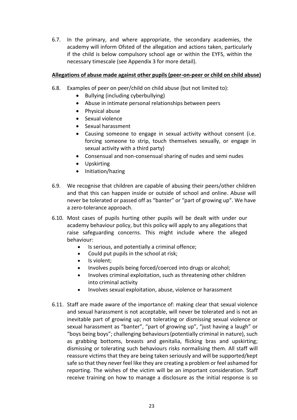6.7. In the primary, and where appropriate, the secondary academies, the academy will inform Ofsted of the allegation and actions taken, particularly if the child is below compulsory school age or within the EYFS, within the necessary timescale (see Appendix 3 for more detail).

#### **Allegations of abuse made against other pupils (peer-on-peer or child on child abuse)**

- 6.8. Examples of peer on peer/child on child abuse (but not limited to):
	- Bullying (including cyberbullying)
	- Abuse in intimate personal relationships between peers
	- Physical abuse
	- Sexual violence
	- Sexual harassment
	- Causing someone to engage in sexual activity without consent (i.e. forcing someone to strip, touch themselves sexually, or engage in sexual activity with a third party)
	- Consensual and non-consensual sharing of nudes and semi nudes
	- Upskirting
	- Initiation/hazing
- 6.9. We recognise that children are capable of abusing their peers/other children and that this can happen inside or outside of school and online. Abuse will never be tolerated or passed off as "banter" or "part of growing up". We have a zero-tolerance approach.
- 6.10. Most cases of pupils hurting other pupils will be dealt with under our academy behaviour policy, but this policy will apply to any allegations that raise safeguarding concerns. This might include where the alleged behaviour:
	- Is serious, and potentially a criminal offence;
	- Could put pupils in the school at risk;
	- Is violent;
	- Involves pupils being forced/coerced into drugs or alcohol;
	- Involves criminal exploitation, such as threatening other children into criminal activity
	- Involves sexual exploitation, abuse, violence or harassment
- 6.11. Staff are made aware of the importance of: making clear that sexual violence and sexual harassment is not acceptable, will never be tolerated and is not an inevitable part of growing up; not tolerating or dismissing sexual violence or sexual harassment as "banter", "part of growing up", "just having a laugh" or "boys being boys"; challenging behaviours(potentially criminal in nature), such as grabbing bottoms, breasts and genitalia, flicking bras and upskirting; dismissing or tolerating such behaviours risks normalising them. All staff will reassure victims that they are being taken seriously and will be supported/kept safe so that they never feel like they are creating a problem or feel ashamed for reporting. The wishes of the victim will be an important consideration. Staff receive training on how to manage a disclosure as the initial response is so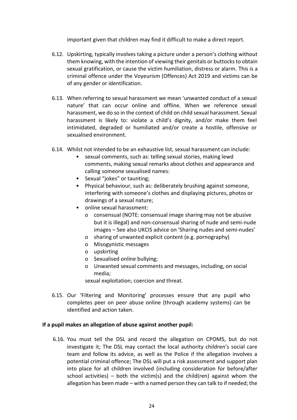important given that children may find it difficult to make a direct report.

- 6.12. Upskirting, typically involves taking a picture under a person's clothing without them knowing, with the intention of viewing their genitals or buttocks to obtain sexual gratification, or cause the victim humiliation, distress or alarm. This is a criminal offence under the Voyeurism (Offences) Act 2019 and victims can be of any gender or identification.
- 6.13. When referring to sexual harassment we mean 'unwanted conduct of a sexual nature' that can occur online and offline. When we reference sexual harassment, we do so in the context of child on child sexual harassment. Sexual harassment is likely to: violate a child's dignity, and/or make them feel intimidated, degraded or humiliated and/or create a hostile, offensive or sexualised environment.
- 6.14. Whilst not intended to be an exhaustive list, sexual harassment can include:
	- sexual comments, such as: telling sexual stories, making lewd comments, making sexual remarks about clothes and appearance and calling someone sexualised names:
	- Sexual "jokes" or taunting;
	- Physical behaviour, such as: deliberately brushing against someone, interfering with someone's clothes and displaying pictures, photos or drawings of a sexual nature;
	- online sexual harassment:
		- o consensual (NOTE: consensual image sharing may not be abusive but it is illegal) and non-consensual sharing of nude and semi-nude images – See also UKCIS advice on 'Sharing nudes and semi-nudes'
		- o sharing of unwanted explicit content (e.g. pornography)
		- o Misogynistic messages
		- o upskirting
		- o Sexualised online bullying;
		- o Unwanted sexual comments and messages, including, on social media;

sexual exploitation; coercion and threat.

6.15. Our 'Filtering and Monitoring' processes ensure that any pupil who completes peer on peer abuse online (through academy systems) can be identified and action taken.

#### **If a pupil makes an allegation of abuse against another pupil:**

6.16. You must tell the DSL and record the allegation on CPOMS, but do not investigate it; The DSL may contact the local authority children's social care team and follow its advice, as well as the Police if the allegation involves a potential criminal offence; The DSL will put a risk assessment and support plan into place for all children involved (including consideration for before/after school activities) – both the victim(s) and the child(ren) against whom the allegation has been made – with a named person they can talk to if needed; the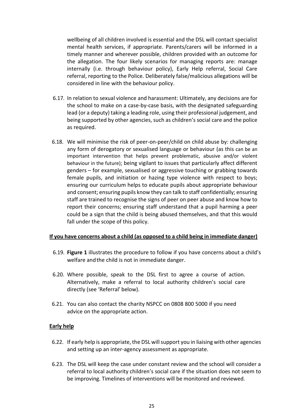wellbeing of all children involved is essential and the DSL will contact specialist mental health services, if appropriate. Parents/carers will be informed in a timely manner and wherever possible, children provided with an outcome for the allegation. The four likely scenarios for managing reports are: manage internally (i.e. through behaviour policy), Early Help referral, Social Care referral, reporting to the Police. Deliberately false/malicious allegations will be considered in line with the behaviour policy.

- 6.17. In relation to sexual violence and harassment: Ultimately, any decisions are for the school to make on a case-by-case basis, with the designated safeguarding lead (or a deputy) taking a leading role, using their professional judgement, and being supported by other agencies, such as children's social care and the police as required.
- 6.18. We will minimise the risk of peer-on-peer/child on child abuse by: challenging any form of derogatory or sexualised language or behaviour (as this can be an important intervention that helps prevent problematic, abusive and/or violent behaviour in the future); being vigilant to issues that particularly affect different genders – for example, sexualised or aggressive touching or grabbing towards female pupils, and initiation or hazing type violence with respect to boys; ensuring our curriculum helps to educate pupils about appropriate behaviour and consent; ensuring pupils know they can talk to staff confidentially; ensuring staff are trained to recognise the signs of peer on peer abuse and know how to report their concerns; ensuring staff understand that a pupil harming a peer could be a sign that the child is being abused themselves, and that this would fall under the scope of this policy.

#### **If you have concerns about a child (as opposed to a child being in immediate danger)**

- 6.19. **Figure 1** illustrates the procedure to follow if you have concerns about a child's welfare andthe child is not in immediate danger.
- 6.20. Where possible, speak to the DSL first to agree a course of action. Alternatively, make a referral to local authority children's social care directly (see 'Referral' below).
- 6.21. You can also contact the charity NSPCC on 0808 800 5000 if you need advice on the appropriate action.

#### **Early help**

- 6.22. If early help is appropriate, the DSL will support you in liaising with other agencies and setting up an inter-agency assessment as appropriate.
- 6.23. The DSL will keep the case under constant review and the school will consider a referral to local authority children's social care if the situation does not seem to be improving. Timelines of interventions will be monitored and reviewed.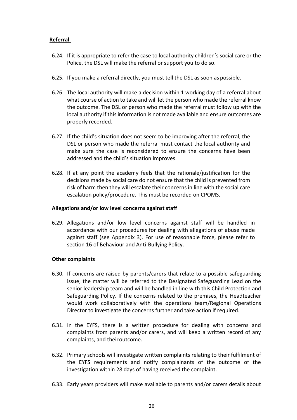#### **Referral**

- 6.24. If it is appropriate to refer the case to local authority children's social care or the Police, the DSL will make the referral or support you to do so.
- 6.25. If you make a referral directly, you must tell the DSL as soon as possible.
- 6.26. The local authority will make a decision within 1 working day of a referral about what course of action to take and will let the person who made the referral know the outcome. The DSL or person who made the referral must follow up with the local authority if this information is not made available and ensure outcomes are properly recorded.
- 6.27. If the child's situation does not seem to be improving after the referral, the DSL or person who made the referral must contact the local authority and make sure the case is reconsidered to ensure the concerns have been addressed and the child's situation improves.
- 6.28. If at any point the academy feels that the rationale/justification for the decisions made by social care do not ensure that the child is prevented from risk of harm then they will escalate their concerns in line with the social care escalation policy/procedure. This must be recorded on CPOMS.

#### **Allegations and/or low level concerns against staff**

6.29. Allegations and/or low level concerns against staff will be handled in accordance with our procedures for dealing with allegations of abuse made against staff (see Appendix 3). For use of reasonable force, please refer to section 16 of Behaviour and Anti-Bullying Policy.

#### **Other complaints**

- 6.30. If concerns are raised by parents/carers that relate to a possible safeguarding issue, the matter will be referred to the Designated Safeguarding Lead on the senior leadership team and will be handled in line with this Child Protection and Safeguarding Policy. If the concerns related to the premises, the Headteacher would work collaboratively with the operations team/Regional Operations Director to investigate the concerns further and take action if required.
- 6.31. In the EYFS, there is a written procedure for dealing with concerns and complaints from parents and/or carers, and will keep a written record of any complaints, and theiroutcome.
- 6.32. Primary schools will investigate written complaints relating to their fulfilment of the EYFS requirements and notify complainants of the outcome of the investigation within 28 days of having received the complaint.
- 6.33. Early years providers will make available to parents and/or carers details about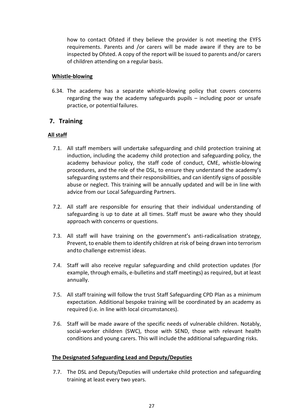how to contact Ofsted if they believe the provider is not meeting the EYFS requirements. Parents and /or carers will be made aware if they are to be inspected by Ofsted. A copy of the report will be issued to parents and/or carers of children attending on a regular basis.

#### **Whistle-blowing**

6.34. The academy has a separate whistle-blowing policy that covers concerns regarding the way the academy safeguards pupils – including poor or unsafe practice, or potential failures.

## **7. Training**

#### **All staff**

- 7.1. All staff members will undertake safeguarding and child protection training at induction, including the academy child protection and safeguarding policy, the academy behaviour policy, the staff code of conduct, CME, whistle-blowing procedures, and the role of the DSL, to ensure they understand the academy's safeguarding systems and their responsibilities, and can identify signs of possible abuse or neglect. This training will be annually updated and will be in line with advice from our Local Safeguarding Partners.
- 7.2. All staff are responsible for ensuring that their individual understanding of safeguarding is up to date at all times. Staff must be aware who they should approach with concerns or questions.
- 7.3. All staff will have training on the government's anti-radicalisation strategy, Prevent, to enable them to identify children at risk of being drawn into terrorism andto challenge extremist ideas.
- 7.4. Staff will also receive regular safeguarding and child protection updates (for example, through emails, e-bulletins and staff meetings) as required, but at least annually.
- 7.5. All staff training will follow the trust Staff Safeguarding CPD Plan as a minimum expectation. Additional bespoke training will be coordinated by an academy as required (i.e. in line with local circumstances).
- 7.6. Staff will be made aware of the specific needs of vulnerable children. Notably, social-worker children (SWC), those with SEND, those with relevant health conditions and young carers. This will include the additional safeguarding risks.

#### **The Designated Safeguarding Lead and Deputy/Deputies**

7.7. The DSL and Deputy/Deputies will undertake child protection and safeguarding training at least every two years.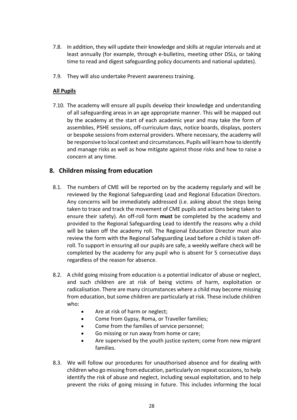- 7.8. In addition, they will update their knowledge and skills at regular intervals and at least annually (for example, through e-bulletins, meeting other DSLs, or taking time to read and digest safeguarding policy documents and national updates).
- 7.9. They will also undertake Prevent awareness training.

#### **All Pupils**

7.10. The academy will ensure all pupils develop their knowledge and understanding of all safeguarding areas in an age appropriate manner. This will be mapped out by the academy at the start of each academic year and may take the form of assemblies, PSHE sessions, off-curriculum days, notice boards, displays, posters or bespoke sessions from external providers. Where necessary, the academy will be responsive to local context and circumstances. Pupils will learn how to identify and manage risks as well as how mitigate against those risks and how to raise a concern at any time.

## **8. Children missing from education**

- 8.1. The numbers of CME will be reported on by the academy regularly and will be reviewed by the Regional Safeguarding Lead and Regional Education Directors. Any concerns will be immediately addressed (i.e. asking about the steps being taken to trace and track the movement of CME pupils and actions being taken to ensure their safety). An off-roll form **must** be completed by the academy and provided to the Regional Safeguarding Lead to identify the reasons why a child will be taken off the academy roll. The Regional Education Director must also review the form with the Regional Safeguarding Lead before a child is taken offroll. To support in ensuring all our pupils are safe, a weekly welfare check will be completed by the academy for any pupil who is absent for 5 consecutive days regardless of the reason for absence.
- 8.2. A child going missing from education is a potential indicator of abuse or neglect, and such children are at risk of being victims of harm, exploitation or radicalisation. There are many circumstances where a child may become missing from education, but some children are particularly at risk. These include children who:
	- Are at risk of harm or neglect;
	- Come from Gypsy, Roma, or Traveller families;
	- Come from the families of service personnel;
	- Go missing or run away from home or care;
	- Are supervised by the youth justice system; come from new migrant families.
- 8.3. We will follow our procedures for unauthorised absence and for dealing with children who go missing from education, particularly on repeat occasions, to help identify the risk of abuse and neglect, including sexual exploitation, and to help prevent the risks of going missing in future. This includes informing the local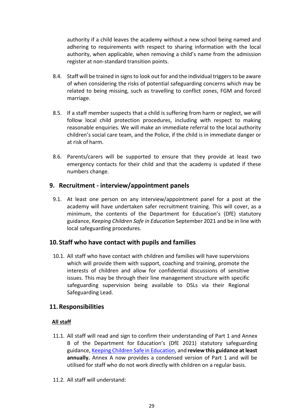authority if a child leaves the academy without a new school being named and adhering to requirements with respect to sharing information with the local authority, when applicable, when removing a child's name from the admission register at non-standard transition points.

- 8.4. Staff will be trained in signs to look out for and the individual triggers to be aware of when considering the risks of potential safeguarding concerns which may be related to being missing, such as travelling to conflict zones, FGM and forced marriage.
- 8.5. If a staff member suspects that a child is suffering from harm or neglect, we will follow local child protection procedures, including with respect to making reasonable enquiries. We will make an immediate referral to the local authority children's social care team, and the Police, if the child is in immediate danger or at risk of harm.
- 8.6. Parents/carers will be supported to ensure that they provide at least two emergency contacts for their child and that the academy is updated if these numbers change.

#### **9. Recruitment - interview/appointment panels**

9.1. At least one person on any interview/appointment panel for a post at the academy will have undertaken safer recruitment training. This will cover, as a minimum, the contents of the Department for Education's (DfE) statutory guidance, *Keeping Children Safe in Education* September 2021 and be in line with local safeguarding procedures.

## **10. Staff who have contact with pupils and families**

10.1. All staff who have contact with children and families will have supervisions which will provide them with support, coaching and training, promote the interests of children and allow for confidential discussions of sensitive issues. This may be through their line management structure with specific safeguarding supervision being available to DSLs via their Regional Safeguarding Lead.

#### **11.Responsibilities**

#### **All staff**

- 11.1. All staff will read and sign to confirm their understanding of Part 1 and Annex B of the Department for Education's (DfE 2021) statutory safeguarding guidance, [Keeping Children Safe in Education, a](https://www.gov.uk/government/publications/keeping-children-safe-in-education--2)nd **review this guidance at least annually.** Annex A now provides a condensed version of Part 1 and will be utilised for staff who do not work directly with children on a regular basis.
- 11.2. All staff will understand: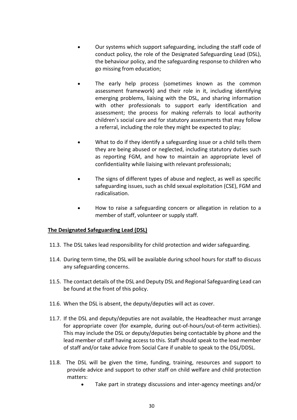- Our systems which support safeguarding, including the staff code of conduct policy, the role of the Designated Safeguarding Lead (DSL), the behaviour policy, and the safeguarding response to children who go missing from education;
- The early help process (sometimes known as the common assessment framework) and their role in it, including identifying emerging problems, liaising with the DSL, and sharing information with other professionals to support early identification and assessment; the process for making referrals to local authority children's social care and for statutory assessments that may follow a referral, including the role they might be expected to play;
- What to do if they identify a safeguarding issue or a child tells them they are being abused or neglected, including statutory duties such as reporting FGM, and how to maintain an appropriate level of confidentiality while liaising with relevant professionals;
- The signs of different types of abuse and neglect, as well as specific safeguarding issues, such as child sexual exploitation (CSE), FGM and radicalisation.
- How to raise a safeguarding concern or allegation in relation to a member of staff, volunteer or supply staff.

#### **The Designated Safeguarding Lead (DSL)**

- 11.3. The DSL takes lead responsibility for child protection and wider safeguarding.
- 11.4. During term time, the DSL will be available during school hours for staff to discuss any safeguarding concerns.
- 11.5. The contact details of the DSL and Deputy DSL and Regional Safeguarding Lead can be found at the front of this policy.
- 11.6. When the DSL is absent, the deputy/deputies will act as cover.
- 11.7. If the DSL and deputy/deputies are not available, the Headteacher must arrange for appropriate cover (for example, during out-of-hours/out-of-term activities). This may include the DSL or deputy/deputies being contactable by phone and the lead member of staff having access to this. Staff should speak to the lead member of staff and/or take advice from Social Care if unable to speak to the DSL/DDSL.
- 11.8. The DSL will be given the time, funding, training, resources and support to provide advice and support to other staff on child welfare and child protection matters:
	- Take part in strategy discussions and inter-agency meetings and/or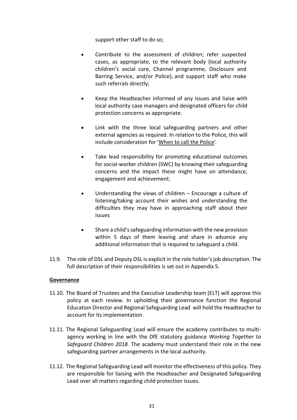support other staff to do so;

- Contribute to the assessment of children; refer suspected cases, as appropriate, to the relevant body (local authority children's social care, Channel programme, Disclosure and Barring Service, and/or Police), and support staff who make such referrals directly;
- Keep the Headteacher informed of any issues and liaise with local authority case managers and designated officers for child protection concerns as appropriate.
- Link with the three local safeguarding partners and other external agencies as required. In relation to the Police, this will include consideration for ['When to call](https://www.npcc.police.uk/documents/Children%20and%20Young%20people/When%20to%20call%20the%20police%20guidance%20for%20schools%20and%20colleges.pdf) the Police'.
- Take lead responsibility for promoting educational outcomes for social-worker children (SWC) by knowing their safeguarding concerns and the impact these might have on attendance, engagement and achievement.
- Understanding the views of children  $-$  Encourage a culture of listening/taking account their wishes and understanding the difficulties they may have in approaching staff about their issues
- Share a child's safeguarding information with the new provision within 5 days of them leaving and share in advance any additional information that is required to safeguard a child.
- 11.9. The role of DSL and Deputy DSL is explicit in the role holder's job description. The full description of their responsibilities is set out in Appendix 5.

#### **Governance**

- 11.10. The Board of Trustees and the Executive Leadership team (ELT) will approve this policy at each review. In upholding their governance function the Regional Education Director and Regional Safeguarding Lead will hold the Headteacher to account for its implementation.
- 11.11. The Regional Safeguarding Lead will ensure the academy contributes to multiagency working in line with the DfE statutory guidance *Working Together to Safeguard Children 2018.* The academy must understand their role in the new safeguarding partner arrangements in the local authority.
- 11.12. The Regional Safeguarding Lead will monitor the effectiveness of this policy. They are responsible for liaising with the Headteacher and Designated Safeguarding Lead over all matters regarding child protection issues.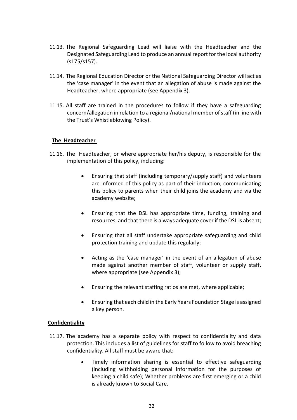- 11.13. The Regional Safeguarding Lead will liaise with the Headteacher and the Designated Safeguarding Lead to produce an annual report for the local authority (s175/s157).
- 11.14. The Regional Education Director or the National Safeguarding Director will act as the 'case manager' in the event that an allegation of abuse is made against the Headteacher, where appropriate (see Appendix 3).
- 11.15. All staff are trained in the procedures to follow if they have a safeguarding concern/allegation in relation to a regional/national member of staff (in line with the Trust's Whistleblowing Policy).

#### **The Headteacher**

- 11.16. The Headteacher, or where appropriate her/his deputy, is responsible for the implementation of this policy, including:
	- Ensuring that staff (including temporary/supply staff) and volunteers are informed of this policy as part of their induction; communicating this policy to parents when their child joins the academy and via the academy website;
	- Ensuring that the DSL has appropriate time, funding, training and resources, and that there is always adequate cover if the DSL is absent;
	- Ensuring that all staff undertake appropriate safeguarding and child protection training and update this regularly;
	- Acting as the 'case manager' in the event of an allegation of abuse made against another member of staff, volunteer or supply staff, where appropriate (see Appendix 3);
	- Ensuring the relevant staffing ratios are met, where applicable;
	- Ensuring that each child in the Early Years Foundation Stage is assigned a key person.

#### **Confidentiality**

- 11.17. The academy has a separate policy with respect to confidentiality and data protection. This includes a list of guidelines for staff to follow to avoid breaching confidentiality. All staff must be aware that:
	- Timely information sharing is essential to effective safeguarding (including withholding personal information for the purposes of keeping a child safe); Whether problems are first emerging or a child is already known to Social Care.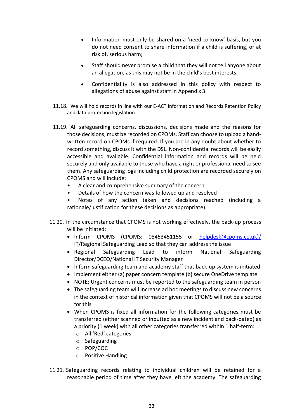- Information must only be shared on a 'need-to-know' basis, but you do not need consent to share information if a child is suffering, or at risk of, serious harm;
- Staff should never promise a child that they will not tell anyone about an allegation, as this may not be in the child's best interests;
- Confidentiality is also addressed in this policy with respect to allegations of abuse against staff in Appendix 3.
- 11.18. We will hold records in line with our E-ACT Information and Records Retention Policy and data protection legislation.
- 11.19. All safeguarding concerns, discussions, decisions made and the reasons for those decisions, must be recorded on CPOMs. Staff can choose to upload a handwritten record on CPOMs if required. If you are in any doubt about whether to record something, discuss it with the DSL. Non-confidential records will be easily accessible and available. Confidential information and records will be held securely and only available to those who have a right or professional need to see them. Any safeguarding logs including child protection are recorded securely on CPOMS and will include:
	- A clear and comprehensive summary of the concern
	- Details of how the concern was followed up and resolved
	- Notes of any action taken and decisions reached (including a rationale/justification for these decisions as appropriate).
- 11.20. In the circumstance that CPOMS is not working effectively, the back-up process will be initiated:
	- Inform CPOMS (CPOMS: 08453451155 or [helpdesk@cpoms.co.uk\)/](mailto:helpdesk@cpoms.co.uk)/) IT/Regional Safeguarding Lead so that they can address the issue
	- Regional Safeguarding Lead to inform National Safeguarding Director/DCEO/National IT Security Manager
	- Inform safeguarding team and academy staff that back-up system is initiated
	- Implement either (a) paper concern template (b) secure OneDrive template
	- NOTE: Urgent concerns must be reported to the safeguarding team in person
	- The safeguarding team will increase ad hoc meetings to discuss new concerns in the context of historical information given that CPOMS will not be a source for this
	- When CPOMS is fixed all information for the following categories must be transferred (either scanned or inputted as a new incident and back-dated) as a priority (1 week) with all other categories transferred within 1 half-term:
		- o All 'Red' categories
		- o Safeguarding
		- o POP/COC
		- o Positive Handling
- 11.21. Safeguarding records relating to individual children will be retained for a reasonable period of time after they have left the academy. The safeguarding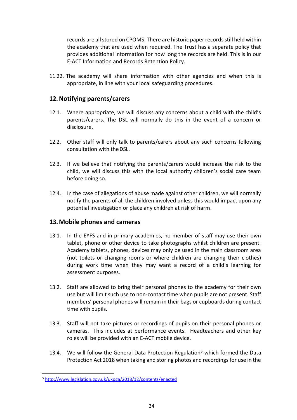records are all stored on CPOMS. There are historic paper records still held within the academy that are used when required. The Trust has a separate policy that provides additional information for how long the records are held. This is in our E-ACT Information and Records Retention Policy.

11.22. The academy will share information with other agencies and when this is appropriate, in line with your local safeguarding procedures.

## **12.Notifying parents/carers**

- 12.1. Where appropriate, we will discuss any concerns about a child with the child's parents/carers. The DSL will normally do this in the event of a concern or disclosure.
- 12.2. Other staff will only talk to parents/carers about any such concerns following consultation with theDSL.
- 12.3. If we believe that notifying the parents/carers would increase the risk to the child, we will discuss this with the local authority children's social care team before doing so.
- 12.4. In the case of allegations of abuse made against other children, we will normally notify the parents of all the children involved unless this would impact upon any potential investigation or place any children at risk of harm.

## **13.Mobile phones and cameras**

- 13.1. In the EYFS and in primary academies, no member of staff may use their own tablet, phone or other device to take photographs whilst children are present. Academy tablets, phones, devices may only be used in the main classroom area (not toilets or changing rooms or where children are changing their clothes) during work time when they may want a record of a child's learning for assessment purposes.
- 13.2. Staff are allowed to bring their personal phones to the academy for their own use but will limit such use to non-contact time when pupils are not present. Staff members' personal phones will remain in their bags or cupboards during contact time with pupils.
- 13.3. Staff will not take pictures or recordings of pupils on their personal phones or cameras. This includes at performance events. Headteachers and other key roles will be provided with an E-ACT mobile device.
- 13.4. We will follow the General Data Protection Regulation<sup>5</sup> which formed the Data Protection Act 2018 when taking and storing photos and recordings for use in the

 $\overline{a}$ 

<sup>5</sup> <http://www.legislation.gov.uk/ukpga/2018/12/contents/enacted>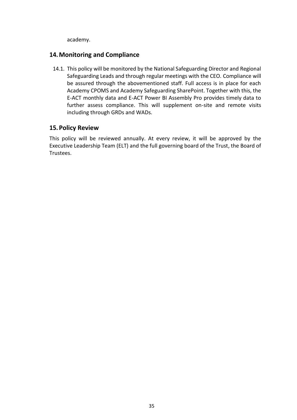academy.

### **14.Monitoring and Compliance**

14.1. This policy will be monitored by the National Safeguarding Director and Regional Safeguarding Leads and through regular meetings with the CEO. Compliance will be assured through the abovementioned staff. Full access is in place for each Academy CPOMS and Academy Safeguarding SharePoint. Together with this, the E-ACT monthly data and E-ACT Power BI Assembly Pro provides timely data to further assess compliance. This will supplement on-site and remote visits including through GRDs and WADs.

## **15.Policy Review**

This policy will be reviewed annually. At every review, it will be approved by the Executive Leadership Team (ELT) and the full governing board of the Trust, the Board of Trustees.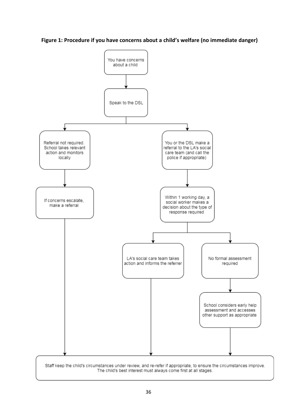**Figure 1: Procedure if you have concerns about a child's welfare (no immediate danger)**



Staff keep the child's circumstances under review, and re-refer if appropriate, to ensure the circumstances improve. The child's best interest must always come first at all stages.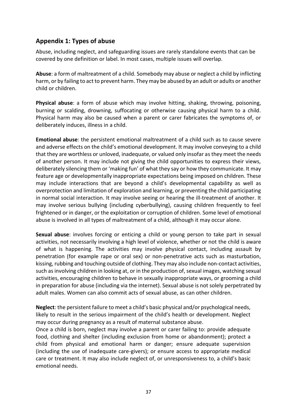## **Appendix 1: Types of abuse**

Abuse, including neglect, and safeguarding issues are rarely standalone events that can be covered by one definition or label. In most cases, multiple issues will overlap.

**Abuse**: a form of maltreatment of a child. Somebody may abuse or neglect a child by inflicting harm, or by failing to act to prevent harm. They may be abused by an adult or adults or another child or children.

**Physical abuse**: a form of abuse which may involve hitting, shaking, throwing, poisoning, burning or scalding, drowning, suffocating or otherwise causing physical harm to a child. Physical harm may also be caused when a parent or carer fabricates the symptoms of, or deliberately induces, illness in a child.

**Emotional abuse**: the persistent emotional maltreatment of a child such as to cause severe and adverse effects on the child's emotional development. It may involve conveying to a child that they are worthless or unloved, inadequate, or valued only insofar as they meet the needs of another person. It may include not giving the child opportunities to express their views, deliberately silencing them or 'making fun' of what they say or how they communicate. It may feature age or developmentally inappropriate expectations being imposed on children. These may include interactions that are beyond a child's developmental capability as well as overprotection and limitation of exploration and learning, or preventing the child participating in normal social interaction. It may involve seeing or hearing the ill-treatment of another. It may involve serious bullying (including cyberbullying), causing children frequently to feel frightened or in danger, or the exploitation or corruption of children. Some level of emotional abuse is involved in all types of maltreatment of a child, although it may occur alone.

**Sexual abuse**: involves forcing or enticing a child or young person to take part in sexual activities, not necessarily involving a high level of violence, whether or not the child is aware of what is happening. The activities may involve physical contact, including assault by penetration (for example rape or oral sex) or non-penetrative acts such as masturbation, kissing, rubbing and touching outside of clothing. They may also include non-contact activities, such as involving children in looking at, or in the production of, sexual images, watching sexual activities, encouraging children to behave in sexually inappropriate ways, or grooming a child in preparation for abuse (including via the internet). Sexual abuse is not solely perpetrated by adult males. Women can also commit acts of sexual abuse, as can other children.

**Neglect**: the persistent failure to meet a child's basic physical and/or psychological needs, likely to result in the serious impairment of the child's health or development. Neglect may occur during pregnancy as a result of maternal substance abuse.

Once a child is born, neglect may involve a parent or carer failing to: provide adequate food, clothing and shelter (including exclusion from home or abandonment); protect a child from physical and emotional harm or danger; ensure adequate supervision (including the use of inadequate care-givers); or ensure access to appropriate medical care or treatment. It may also include neglect of, or unresponsiveness to, a child's basic emotional needs.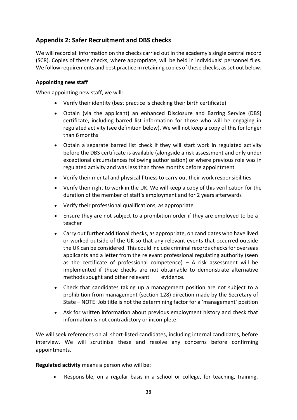## **Appendix 2: Safer Recruitment and DBS checks**

We will record all information on the checks carried out in the academy's single central record (SCR). Copies of these checks, where appropriate, will be held in individuals' personnel files. We follow requirements and best practice in retaining copies of these checks, as set out below.

#### **Appointing new staff**

When appointing new staff, we will:

- Verify their identity (best practice is checking their birth certificate)
- Obtain (via the applicant) an enhanced Disclosure and Barring Service (DBS) certificate, including barred list information for those who will be engaging in regulated activity (see definition below). We will not keep a copy of this for longer than 6months
- Obtain a separate barred list check if they will start work in regulated activity before the DBS certificate is available (alongside a risk assessment and only under exceptional circumstances following authorisation) or where previous role was in regulated activity and was less than three months before appointment
- Verify their mental and physical fitness to carry out their work responsibilities
- Verify their right to work in the UK. We will keep a copy of this verification for the duration of the member of staff's employment and for 2 years afterwards
- Verify their professional qualifications, as appropriate
- Ensure they are not subject to a prohibition order if they are employed to be a teacher
- Carry out further additional checks, as appropriate, on candidates who have lived or worked outside of the UK so that any relevant events that occurred outside the UK can be considered. This could include criminal records checks for overseas applicants and a letter from the relevant professional regulating authority (seen as the certificate of professional competence)  $-$  A risk assessment will be implemented if these checks are not obtainable to demonstrate alternative methods sought and other relevant evidence.
- Check that candidates taking up a management position are not subject to a prohibition from management (section 128) direction made by the Secretary of State – NOTE: Job title is not the determining factor for a 'management' position
- Ask for written information about previous employment history and check that information is not contradictory or incomplete.

We will seek references on all short-listed candidates, including internal candidates, before interview. We will scrutinise these and resolve any concerns before confirming appointments.

**Regulated activity** means a person who will be:

• Responsible, on a regular basis in a school or college, for teaching, training,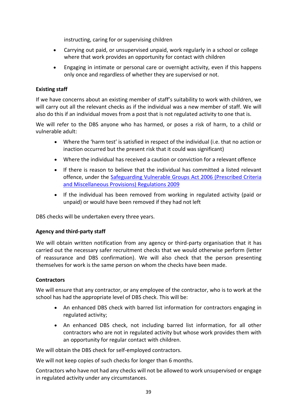instructing, caring for or supervising children

- Carrying out paid, or unsupervised unpaid, work regularly in a school or college where that work provides an opportunity for contact with children
- Engaging in intimate or personal care or overnight activity, even if this happens only once and regardless of whether they are supervised or not.

#### **Existing staff**

If we have concerns about an existing member of staff's suitability to work with children, we will carry out all the relevant checks as if the individual was a new member of staff. We will also do this if an individual moves from a post that is not regulated activity to one that is.

We will refer to the DBS anyone who has harmed, or poses a risk of harm, to a child or vulnerable adult:

- Where the 'harm test' is satisfied in respect of the individual (i.e. that no action or inaction occurred but the present risk that it could was significant)
- Where the individual has received a caution or conviction for a relevant offence
- If there is reason to believe that the individual has committed a listed relevant offence, under the [Safeguarding Vulnerable Groups Act 2006 \(Prescribed Criteria](http://www.legislation.gov.uk/uksi/2009/37/contents/made)  [and Miscellaneous](http://www.legislation.gov.uk/uksi/2009/37/contents/made) [Provisions\) Regulations](http://www.legislation.gov.uk/uksi/2009/37/contents/made) 2009
- If the individual has been removed from working in regulated activity (paid or unpaid) or would have been removed if they had not left

DBS checks will be undertaken every three years.

#### **Agency and third-party staff**

We will obtain written notification from any agency or third-party organisation that it has carried out the necessary safer recruitment checks that we would otherwise perform (letter of reassurance and DBS confirmation). We will also check that the person presenting themselves for work is the same person on whom the checks have been made.

#### **Contractors**

We will ensure that any contractor, or any employee of the contractor, who is to work at the school has had the appropriate level of DBS check. This will be:

- An enhanced DBS check with barred list information for contractors engaging in regulated activity;
- An enhanced DBS check, not including barred list information, for all other contractors who are not in regulated activity but whose work provides them with an opportunity for regular contact with children.

We will obtain the DBS check for self-employed contractors.

We will not keep copies of such checks for longer than 6 months.

Contractors who have not had any checks will not be allowed to work unsupervised or engage in regulated activity under any circumstances.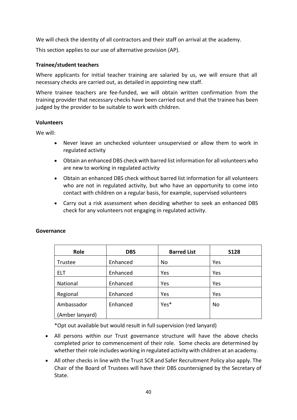We will check the identity of all contractors and their staff on arrival at the academy.

This section applies to our use of alternative provision (AP).

#### **Trainee/student teachers**

Where applicants for initial teacher training are salaried by us, we will ensure that all necessary checks are carried out, as detailed in appointing new staff.

Where trainee teachers are fee-funded, we will obtain written confirmation from the training provider that necessary checks have been carried out and that the trainee has been judged by the provider to be suitable to work with children.

#### **Volunteers**

We will:

- Never leave an unchecked volunteer unsupervised or allow them to work in regulated activity
- Obtain an enhanced DBS check with barred list information for all volunteers who are new to working in regulated activity
- Obtain an enhanced DBS check without barred list information for all volunteers who are not in regulated activity, but who have an opportunity to come into contact with children on a regular basis, for example, supervised volunteers
- Carry out a risk assessment when deciding whether to seek an enhanced DBS check for any volunteers not engaging in regulated activity.

| Role            | <b>DBS</b> | <b>Barred List</b> | <b>S128</b> |
|-----------------|------------|--------------------|-------------|
| Trustee         | Enhanced   | No                 | Yes         |
| <b>ELT</b>      | Enhanced   | Yes                | Yes         |
| National        | Enhanced   | Yes                | Yes         |
| Regional        | Enhanced   | Yes                | Yes         |
| Ambassador      | Enhanced   | Yes*               | No          |
| (Amber lanyard) |            |                    |             |

#### **Governance**

\*Opt out available but would result in full supervision (red lanyard)

- All persons within our Trust governance structure will have the above checks completed prior to commencement of their role. Some checks are determined by whether their role includes working in regulated activity with children at an academy.
- All other checks in line with the Trust SCR and Safer Recruitment Policy also apply. The Chair of the Board of Trustees will have their DBS countersigned by the Secretary of State.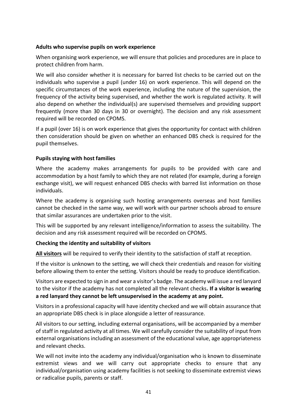#### **Adults who supervise pupils on work experience**

When organising work experience, we will ensure that policies and procedures are in place to protect children from harm.

We will also consider whether it is necessary for barred list checks to be carried out on the individuals who supervise a pupil (under 16) on work experience. This will depend on the specific circumstances of the work experience, including the nature of the supervision, the frequency of the activity being supervised, and whether the work is regulated activity. It will also depend on whether the individual(s) are supervised themselves and providing support frequently (more than 30 days in 30 or overnight). The decision and any risk assessment required will be recorded on CPOMS.

If a pupil (over 16) is on work experience that gives the opportunity for contact with children then consideration should be given on whether an enhanced DBS check is required for the pupil themselves.

#### **Pupils staying with host families**

Where the academy makes arrangements for pupils to be provided with care and accommodation by a host family to which they are not related (for example, during a foreign exchange visit), we will request enhanced DBS checks with barred list information on those individuals.

Where the academy is organising such hosting arrangements overseas and host families cannot be checked in the same way, we will work with our partner schools abroad to ensure that similar assurances are undertaken prior to the visit.

This will be supported by any relevant intelligence/information to assess the suitability. The decision and any risk assessment required will be recorded on CPOMS.

#### **Checking the identity and suitability of visitors**

**All visitors** will be required to verify their identity to the satisfaction of staff at reception.

If the visitor is unknown to the setting, we will check their credentials and reason for visiting before allowing them to enter the setting. Visitors should be ready to produce identification.

Visitors are expected to sign in and wear a visitor's badge. The academy will issue a red lanyard to the visitor if the academy has not completed all the relevant checks**. If a visitor is wearing a red lanyard they cannot be left unsupervised in the academy at any point.**

Visitors in a professional capacity will have identity checked and we will obtain assurance that an appropriate DBS check is in place alongside a letter of reassurance.

All visitors to our setting, including external organisations, will be accompanied by a member of staff in regulated activity at all times. We will carefully consider the suitability of input from external organisations including an assessment of the educational value, age appropriateness and relevant checks.

We will not invite into the academy any individual/organisation who is known to disseminate extremist views and we will carry out appropriate checks to ensure that any individual/organisation using academy facilities is not seeking to disseminate extremist views or radicalise pupils, parents or staff.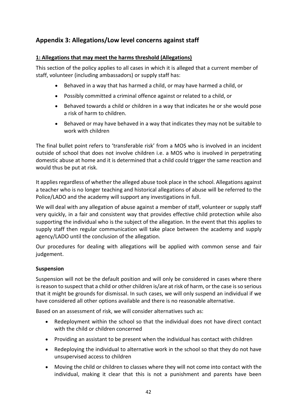## **Appendix 3: Allegations/Low level concerns against staff**

#### **1: Allegations that may meet the harms threshold (Allegations)**

This section of the policy applies to all cases in which it is alleged that a current member of staff, volunteer (including ambassadors) or supply staff has:

- Behaved in a way that has harmed a child, or may have harmed a child, or
- Possibly committed a criminal offence against or related to a child, or
- Behaved towards a child or children in a way that indicates he or she would pose a risk of harm to children.
- Behaved or may have behaved in a way that indicates they may not be suitable to work with children

The final bullet point refers to 'transferable risk' from a MOS who is involved in an incident outside of school that does not involve children i.e. a MOS who is involved in perpetrating domestic abuse at home and it is determined that a child could trigger the same reaction and would thus be put at risk.

It applies regardless of whether the alleged abuse took place in the school. Allegations against a teacher who is no longer teaching and historical allegations of abuse will be referred to the Police/LADO and the academy will support any investigations in full.

We will deal with any allegation of abuse against a member of staff, volunteer or supply staff very quickly, in a fair and consistent way that provides effective child protection while also supporting the individual who is the subject of the allegation. In the event that this applies to supply staff then regular communication will take place between the academy and supply agency/LADO until the conclusion of the allegation.

Our procedures for dealing with allegations will be applied with common sense and fair judgement.

#### **Suspension**

Suspension will not be the default position and will only be considered in cases where there is reason to suspect that a child or other children is/are at risk of harm, or the case is so serious that it might be grounds for dismissal. In such cases, we will only suspend an individual if we have considered all other options available and there is no reasonable alternative.

Based on an assessment of risk, we will consider alternatives such as:

- Redeployment within the school so that the individual does not have direct contact with the child or children concerned
- Providing an assistant to be present when the individual has contact with children
- Redeploying the individual to alternative work in the school so that they do not have unsupervised access to children
- Moving the child or children to classes where they will not come into contact with the individual, making it clear that this is not a punishment and parents have been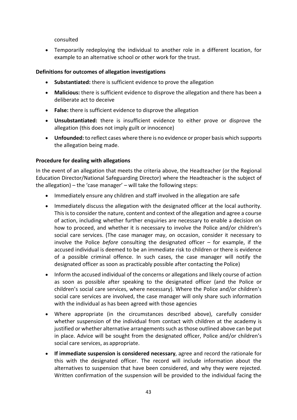consulted

• Temporarily redeploying the individual to another role in a different location, for example to an alternative school or other work for the trust.

#### **Definitions for outcomes of allegation investigations**

- **Substantiated:** there is sufficient evidence to prove the allegation
- **Malicious:** there is sufficient evidence to disprove the allegation and there has been a deliberate act to deceive
- **False:** there is sufficient evidence to disprove the allegation
- **Unsubstantiated:** there is insufficient evidence to either prove or disprove the allegation (this does not imply guilt or innocence)
- **Unfounded:** to reflect cases where there is no evidence or proper basis which supports the allegation being made.

#### **Procedure for dealing with allegations**

In the event of an allegation that meets the criteria above, the Headteacher (or the Regional Education Director/National Safeguarding Director) where the Headteacher is the subject of the allegation) – the 'case manager' – will take the following steps:

- Immediately ensure any children and staff involved in the allegation are safe
- Immediately discuss the allegation with the designated officer at the local authority. This is to consider the nature, content and context of the allegation and agree a course of action, including whether further enquiries are necessary to enable a decision on how to proceed, and whether it is necessary to involve the Police and/or children's social care services. (The case manager may, on occasion, consider it necessary to involve the Police *before* consulting the designated officer – for example, if the accused individual is deemed to be an immediate risk to children or there is evidence of a possible criminal offence. In such cases, the case manager will notify the designated officer as soon as practicably possible after contacting the Police)
- Inform the accused individual of the concerns or allegations and likely course of action as soon as possible after speaking to the designated officer (and the Police or children's social care services, where necessary). Where the Police and/or children's social care services are involved, the case manager will only share such information with the individual as has been agreed with those agencies
- Where appropriate (in the circumstances described above), carefully consider whether suspension of the individual from contact with children at the academy is justified or whether alternative arrangements such as those outlined above can be put in place. Advice will be sought from the designated officer, Police and/or children's social care services, as appropriate.
- **If immediate suspension is considered necessary**, agree and record the rationale for this with the designated officer. The record will include information about the alternatives to suspension that have been considered, and why they were rejected. Written confirmation of the suspension will be provided to the individual facing the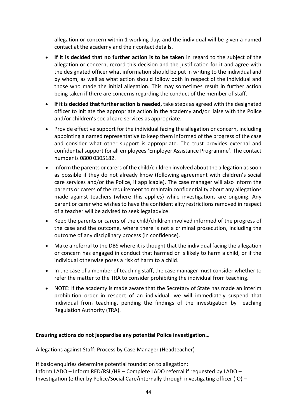allegation or concern within 1 working day, and the individual will be given a named contact at the academy and their contact details.

- **If it is decided that no further action is to be taken** in regard to the subject of the allegation or concern, record this decision and the justification for it and agree with the designated officer what information should be put in writing to the individual and by whom, as well as what action should follow both in respect of the individual and those who made the initial allegation. This may sometimes result in further action being taken if there are concerns regarding the conduct of the member of staff.
- **If it is decided that further action is needed**, take steps as agreed with the designated officer to initiate the appropriate action in the academy and/or liaise with the Police and/or children's social care services as appropriate.
- Provide effective support for the individual facing the allegation or concern, including appointing a named representative to keep them informed of the progress of the case and consider what other support is appropriate. The trust provides external and confidential support for all employees 'Employer Assistance Programme'. The contact number is 0800 0305182.
- Inform the parents or carers of the child/children involved about the allegation as soon as possible if they do not already know (following agreement with children's social care services and/or the Police, if applicable). The case manager will also inform the parents or carers of the requirement to maintain confidentiality about any allegations made against teachers (where this applies) while investigations are ongoing. Any parent or carer who wishes to have the confidentiality restrictions removed in respect of a teacher will be advised to seek legaladvice.
- Keep the parents or carers of the child/children involved informed of the progress of the case and the outcome, where there is not a criminal prosecution, including the outcome of any disciplinary process (in confidence).
- Make a referral to the DBS where it is thought that the individual facing the allegation or concern has engaged in conduct that harmed or is likely to harm a child, or if the individual otherwise poses a risk of harm to a child.
- In the case of a member of teaching staff, the case manager must consider whether to refer the matter to the TRA to consider prohibiting the individual from teaching.
- NOTE: If the academy is made aware that the Secretary of State has made an interim prohibition order in respect of an individual, we will immediately suspend that individual from teaching, pending the findings of the investigation by Teaching Regulation Authority (TRA).

#### **Ensuring actions do not jeopardise any potential Police investigation…**

Allegations against Staff: Process by Case Manager (Headteacher)

If basic enquiries determine potential foundation to allegation: Inform LADO – Inform RED/RSL/HR – Complete LADO referral if requested by LADO – Investigation (either by Police/Social Care/internally through investigating officer (IO) –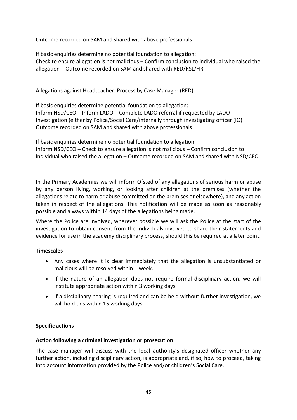Outcome recorded on SAM and shared with above professionals

If basic enquiries determine no potential foundation to allegation: Check to ensure allegation is not malicious – Confirm conclusion to individual who raised the allegation – Outcome recorded on SAM and shared with RED/RSL/HR

Allegations against Headteacher: Process by Case Manager (RED)

If basic enquiries determine potential foundation to allegation: Inform NSD/CEO – Inform LADO – Complete LADO referral if requested by LADO – Investigation (either by Police/Social Care/internally through investigating officer (IO) – Outcome recorded on SAM and shared with above professionals

If basic enquiries determine no potential foundation to allegation: Inform NSD/CEO – Check to ensure allegation is not malicious – Confirm conclusion to individual who raised the allegation – Outcome recorded on SAM and shared with NSD/CEO

In the Primary Academies we will inform Ofsted of any allegations of serious harm or abuse by any person living, working, or looking after children at the premises (whether the allegations relate to harm or abuse committed on the premises or elsewhere), and any action taken in respect of the allegations. This notification will be made as soon as reasonably possible and always within 14 days of the allegations being made.

Where the Police are involved, wherever possible we will ask the Police at the start of the investigation to obtain consent from the individuals involved to share their statements and evidence for use in the academy disciplinary process, should this be required at a later point.

#### **Timescales**

- Any cases where it is clear immediately that the allegation is unsubstantiated or malicious will be resolved within 1 week.
- If the nature of an allegation does not require formal disciplinary action, we will institute appropriate action within 3 working days.
- If a disciplinary hearing is required and can be held without further investigation, we will hold this within 15 working days.

## **Specific actions**

#### **Action following a criminal investigation or prosecution**

The case manager will discuss with the local authority's designated officer whether any further action, including disciplinary action, is appropriate and, if so, how to proceed, taking into account information provided by the Police and/or children's Social Care.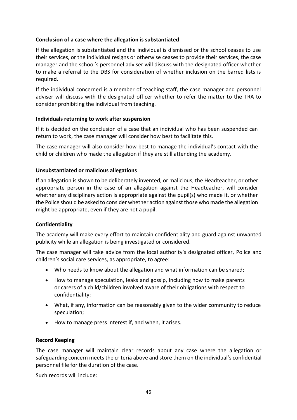#### **Conclusion of a case where the allegation is substantiated**

If the allegation is substantiated and the individual is dismissed or the school ceases to use their services, or the individual resigns or otherwise ceases to provide their services, the case manager and the school's personnel adviser will discuss with the designated officer whether to make a referral to the DBS for consideration of whether inclusion on the barred lists is required.

If the individual concerned is a member of teaching staff, the case manager and personnel adviser will discuss with the designated officer whether to refer the matter to the TRA to consider prohibiting the individual from teaching.

#### **Individuals returning to work after suspension**

If it is decided on the conclusion of a case that an individual who has been suspended can return to work, the case manager will consider how best to facilitate this.

The case manager will also consider how best to manage the individual's contact with the child or children who made the allegation if they are still attending the academy.

#### **Unsubstantiated or malicious allegations**

If an allegation is shown to be deliberately invented, or malicious, the Headteacher, or other appropriate person in the case of an allegation against the Headteacher, will consider whether any disciplinary action is appropriate against the pupil(s) who made it, or whether the Police should be asked to consider whether action against those who made the allegation might be appropriate, even if they are not a pupil.

#### **Confidentiality**

The academy will make every effort to maintain confidentiality and guard against unwanted publicity while an allegation is being investigated or considered.

The case manager will take advice from the local authority's designated officer, Police and children's social care services, as appropriate, to agree:

- Who needs to know about the allegation and what information can be shared;
- How to manage speculation, leaks and gossip, including how to make parents or carers of a child/children involved aware of their obligations with respect to confidentiality;
- What, if any, information can be reasonably given to the wider community to reduce speculation;
- How to manage press interest if, and when, it arises.

#### **Record Keeping**

The case manager will maintain clear records about any case where the allegation or safeguarding concern meets the criteria above and store them on the individual's confidential personnel file for the duration of the case.

Such records will include: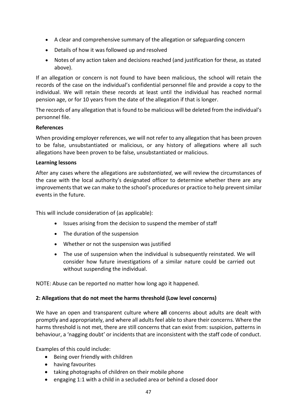- A clear and comprehensive summary of the allegation or safeguarding concern
- Details of how it was followed up and resolved
- Notes of any action taken and decisions reached (and justification for these, as stated above).

If an allegation or concern is not found to have been malicious, the school will retain the records of the case on the individual's confidential personnel file and provide a copy to the individual. We will retain these records at least until the individual has reached normal pension age, or for 10 years from the date of the allegation if that is longer.

The records of any allegation that is found to be malicious will be deleted from the individual's personnel file.

#### **References**

When providing employer references, we will not refer to any allegation that has been proven to be false, unsubstantiated or malicious, or any history of allegations where all such allegations have been proven to be false, unsubstantiated or malicious.

#### **Learning lessons**

After any cases where the allegations are *substantiated*, we will review the circumstances of the case with the local authority's designated officer to determine whether there are any improvements that we can make to the school's procedures or practice to help prevent similar events in the future.

This will include consideration of (as applicable):

- Issues arising from the decision to suspend the member of staff
- The duration of the suspension
- Whether or not the suspension was justified
- The use of suspension when the individual is subsequently reinstated. We will consider how future investigations of a similar nature could be carried out without suspending the individual.

NOTE: Abuse can be reported no matter how long ago it happened.

## **2: Allegations that do not meet the harms threshold (Low level concerns)**

We have an open and transparent culture where **all** concerns about adults are dealt with promptly and appropriately, and where all adults feel able to share their concerns. Where the harms threshold is not met, there are still concerns that can exist from: suspicion, patterns in behaviour, a 'nagging doubt' or incidents that are inconsistent with the staff code of conduct.

Examples of this could include:

- Being over friendly with children
- having favourites
- taking photographs of children on their mobile phone
- engaging 1:1 with a child in a secluded area or behind a closed door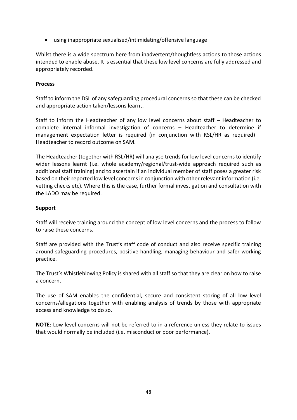• using inappropriate sexualised/intimidating/offensive language

Whilst there is a wide spectrum here from inadvertent/thoughtless actions to those actions intended to enable abuse. It is essential that these low level concerns are fully addressed and appropriately recorded.

#### **Process**

Staff to inform the DSL of any safeguarding procedural concerns so that these can be checked and appropriate action taken/lessons learnt.

Staff to inform the Headteacher of any low level concerns about staff – Headteacher to complete internal informal investigation of concerns – Headteacher to determine if management expectation letter is required (in conjunction with RSL/HR as required) – Headteacher to record outcome on SAM.

The Headteacher (together with RSL/HR) will analyse trends for low level concerns to identify wider lessons learnt (i.e. whole academy/regional/trust-wide approach required such as additional staff training) and to ascertain if an individual member of staff poses a greater risk based on their reported low level concerns in conjunction with other relevant information (i.e. vetting checks etc). Where this is the case, further formal investigation and consultation with the LADO may be required.

#### **Support**

Staff will receive training around the concept of low level concerns and the process to follow to raise these concerns.

Staff are provided with the Trust's staff code of conduct and also receive specific training around safeguarding procedures, positive handling, managing behaviour and safer working practice.

The Trust's Whistleblowing Policy is shared with all staff so that they are clear on how to raise a concern.

The use of SAM enables the confidential, secure and consistent storing of all low level concerns/allegations together with enabling analysis of trends by those with appropriate access and knowledge to do so.

**NOTE:** Low level concerns will not be referred to in a reference unless they relate to issues that would normally be included (i.e. misconduct or poor performance).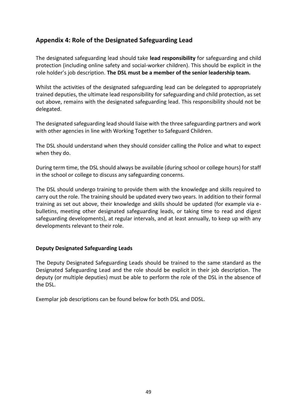## **Appendix 4: Role of the Designated Safeguarding Lead**

The designated safeguarding lead should take **lead responsibility** for safeguarding and child protection (including online safety and social-worker children). This should be explicit in the role holder's job description. **The DSL must be a member of the senior leadership team.**

Whilst the activities of the designated safeguarding lead can be delegated to appropriately trained deputies, the ultimate lead responsibility for safeguarding and child protection, as set out above, remains with the designated safeguarding lead. This responsibility should not be delegated.

The designated safeguarding lead should liaise with the three safeguarding partners and work with other agencies in line with Working Together to Safeguard Children.

The DSL should understand when they should consider calling the Police and what to expect when they do.

During term time, the DSL should always be available (during school or college hours) for staff in the school or college to discuss any safeguarding concerns.

The DSL should undergo training to provide them with the knowledge and skills required to carry out the role. The training should be updated every two years. In addition to their formal training as set out above, their knowledge and skills should be updated (for example via ebulletins, meeting other designated safeguarding leads, or taking time to read and digest safeguarding developments), at regular intervals, and at least annually, to keep up with any developments relevant to their role.

#### **Deputy Designated Safeguarding Leads**

The Deputy Designated Safeguarding Leads should be trained to the same standard as the Designated Safeguarding Lead and the role should be explicit in their job description. The deputy (or multiple deputies) must be able to perform the role of the DSL in the absence of the DSL.

Exemplar job descriptions can be found below for both DSL and DDSL.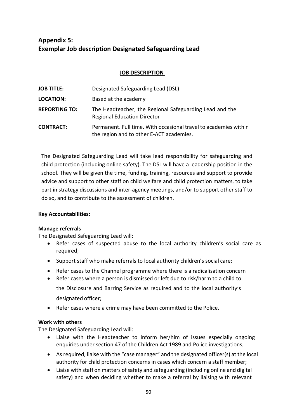## **Appendix 5: Exemplar Job description Designated Safeguarding Lead**

#### **JOB DESCRIPTION**

| <b>JOB TITLE:</b>    | Designated Safeguarding Lead (DSL)                                                                           |
|----------------------|--------------------------------------------------------------------------------------------------------------|
| <b>LOCATION:</b>     | Based at the academy                                                                                         |
| <b>REPORTING TO:</b> | The Headteacher, the Regional Safeguarding Lead and the<br><b>Regional Education Director</b>                |
| <b>CONTRACT:</b>     | Permanent. Full time. With occasional travel to academies within<br>the region and to other E-ACT academies. |

The Designated Safeguarding Lead will take lead responsibility for safeguarding and child protection (including online safety). The DSL will have a leadership position in the school. They will be given the time, funding, training, resources and support to provide advice and support to other staff on child welfare and child protection matters, to take part in strategy discussions and inter-agency meetings, and/or to support other staff to do so, and to contribute to the assessment of children.

#### **Key Accountabilities:**

#### **Manage referrals**

The Designated Safeguarding Lead will:

- Refer cases of suspected abuse to the local authority children's social care as required;
- Support staff who make referrals to local authority children's social care;
- Refer cases to the Channel programme where there is a radicalisation concern
- Refer cases where a person is dismissed or left due to risk/harm to a child to

the Disclosure and Barring Service as required and to the local authority's designated officer;

• Refer cases where a crime may have been committed to the Police.

## **Work with others**

The Designated Safeguarding Lead will:

- Liaise with the Headteacher to inform her/him of issues especially ongoing enquiries under section 47 of the Children Act 1989 and Police investigations;
- As required, liaise with the "case manager" and the designated officer(s) at the local authority for child protection concerns in cases which concern a staff member;
- Liaise with staff on matters of safety and safeguarding (including online and digital safety) and when deciding whether to make a referral by liaising with relevant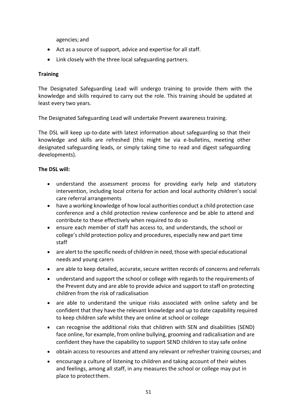agencies; and

- Act as a source of support, advice and expertise for all staff.
- Link closely with the three local safeguarding partners.

#### **Training**

The Designated Safeguarding Lead will undergo training to provide them with the knowledge and skills required to carry out the role. This training should be updated at least every two years.

The Designated Safeguarding Lead will undertake Prevent awareness training.

The DSL will keep up-to-date with latest information about safeguarding so that their knowledge and skills are refreshed (this might be via e-bulletins, meeting other designated safeguarding leads, or simply taking time to read and digest safeguarding developments).

#### **The DSL will:**

- understand the assessment process for providing early help and statutory intervention, including local criteria for action and local authority children's social care referral arrangements
- have a working knowledge of how local authorities conduct a child protection case conference and a child protection review conference and be able to attend and contribute to these effectively when required to do so
- ensure each member of staff has access to, and understands, the school or college's child protection policy and procedures, especially new and part time staff
- are alert to the specific needs of children in need, those with special educational needs and young carers
- are able to keep detailed, accurate, secure written records of concerns and referrals
- understand and support the school or college with regards to the requirements of the Prevent duty and are able to provide advice and support to staff on protecting children from the risk of radicalisation
- are able to understand the unique risks associated with online safety and be confident that they have the relevant knowledge and up to date capability required to keep children safe whilst they are online at school or college
- can recognise the additional risks that children with SEN and disabilities (SEND) face online, for example, from online bullying, grooming and radicalisation and are confident they have the capability to support SEND children to stay safe online
- obtain access to resources and attend any relevant or refresher training courses; and
- encourage a culture of listening to children and taking account of their wishes and feelings, among all staff, in any measures the school or college may put in place to protect them.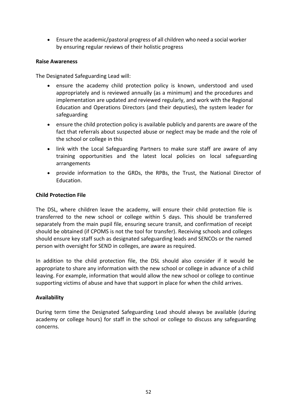• Ensure the academic/pastoral progress of all children who need a social worker by ensuring regular reviews of their holistic progress

#### **Raise Awareness**

The Designated Safeguarding Lead will:

- ensure the academy child protection policy is known, understood and used appropriately and is reviewed annually (as a minimum) and the procedures and implementation are updated and reviewed regularly, and work with the Regional Education and Operations Directors (and their deputies), the system leader for safeguarding
- ensure the child protection policy is available publicly and parents are aware of the fact that referrals about suspected abuse or neglect may be made and the role of the school or college in this
- link with the Local Safeguarding Partners to make sure staff are aware of any training opportunities and the latest local policies on local safeguarding arrangements
- provide information to the GRDs, the RPBs, the Trust, the National Director of Education.

#### **Child Protection File**

The DSL, where children leave the academy, will ensure their child protection file is transferred to the new school or college within 5 days. This should be transferred separately from the main pupil file, ensuring secure transit, and confirmation of receipt should be obtained (if CPOMS is not the tool for transfer). Receiving schools and colleges should ensure key staff such as designated safeguarding leads and SENCOs or the named person with oversight for SEND in colleges, are aware as required.

In addition to the child protection file, the DSL should also consider if it would be appropriate to share any information with the new school or college in advance of a child leaving. For example, information that would allow the new school or college to continue supporting victims of abuse and have that support in place for when the child arrives.

#### **Availability**

During term time the Designated Safeguarding Lead should always be available (during academy or college hours) for staff in the school or college to discuss any safeguarding concerns.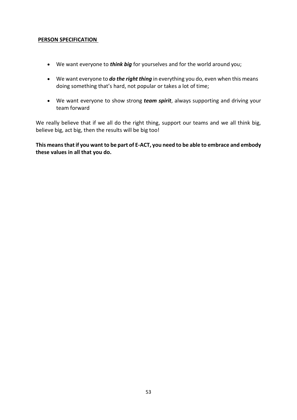#### **PERSON SPECIFICATION**

- We want everyone to *think big* for yourselves and for the world around you;
- We want everyone to *do the right thing* in everything you do, even when this means doing something that's hard, not popular or takes a lot of time;
- We want everyone to show strong *team spirit*, always supporting and driving your team forward

We really believe that if we all do the right thing, support our teams and we all think big, believe big, act big, then the results will be big too!

**This means that if you want to be part of E-ACT, you need to be able to embrace and embody these values in all that you do.**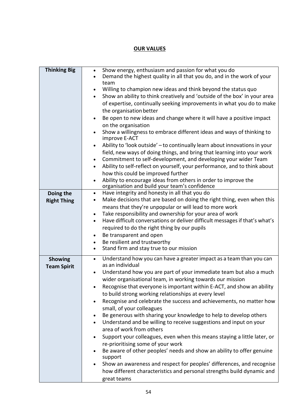### **OUR VALUES**

| <b>Thinking Big</b>                  | Show energy, enthusiasm and passion for what you do<br>$\bullet$<br>Demand the highest quality in all that you do, and in the work of your<br>$\bullet$<br>team<br>Willing to champion new ideas and think beyond the status quo<br>$\bullet$<br>Show an ability to think creatively and 'outside of the box' in your area<br>$\bullet$<br>of expertise, continually seeking improvements in what you do to make<br>the organisation better<br>Be open to new ideas and change where it will have a positive impact<br>$\bullet$<br>on the organisation<br>Show a willingness to embrace different ideas and ways of thinking to<br>$\bullet$<br>improve E-ACT<br>Ability to 'look outside' - to continually learn about innovations in your<br>$\bullet$<br>field, new ways of doing things, and bring that learning into your work<br>Commitment to self-development, and developing your wider Team<br>$\bullet$<br>Ability to self-reflect on yourself, your performance, and to think about<br>$\bullet$<br>how this could be improved further<br>Ability to encourage ideas from others in order to improve the<br>$\bullet$ |
|--------------------------------------|------------------------------------------------------------------------------------------------------------------------------------------------------------------------------------------------------------------------------------------------------------------------------------------------------------------------------------------------------------------------------------------------------------------------------------------------------------------------------------------------------------------------------------------------------------------------------------------------------------------------------------------------------------------------------------------------------------------------------------------------------------------------------------------------------------------------------------------------------------------------------------------------------------------------------------------------------------------------------------------------------------------------------------------------------------------------------------------------------------------------------------|
| Doing the<br><b>Right Thing</b>      | organisation and build your team's confidence<br>Have integrity and honesty in all that you do<br>$\bullet$<br>Make decisions that are based on doing the right thing, even when this<br>$\bullet$<br>means that they're unpopular or will lead to more work<br>Take responsibility and ownership for your area of work<br>$\bullet$<br>Have difficult conversations or deliver difficult messages if that's what's<br>$\bullet$<br>required to do the right thing by our pupils<br>Be transparent and open<br>$\bullet$<br>Be resilient and trustworthy<br>$\bullet$<br>Stand firm and stay true to our mission<br>$\bullet$                                                                                                                                                                                                                                                                                                                                                                                                                                                                                                      |
| <b>Showing</b><br><b>Team Spirit</b> | Understand how you can have a greater impact as a team than you can<br>$\bullet$<br>as an individual<br>Understand how you are part of your immediate team but also a much<br>wider organisational team, in working towards our mission<br>Recognise that everyone is important within E-ACT, and show an ability<br>to build strong working relationships at every level<br>Recognise and celebrate the success and achievements, no matter how<br>small, of your colleagues<br>Be generous with sharing your knowledge to help to develop others<br>$\bullet$<br>Understand and be willing to receive suggestions and input on your<br>$\bullet$<br>area of work from others<br>Support your colleagues, even when this means staying a little later, or<br>$\bullet$<br>re-prioritising some of your work<br>Be aware of other peoples' needs and show an ability to offer genuine<br>support<br>Show an awareness and respect for peoples' differences, and recognise<br>how different characteristics and personal strengths build dynamic and<br>great teams                                                                 |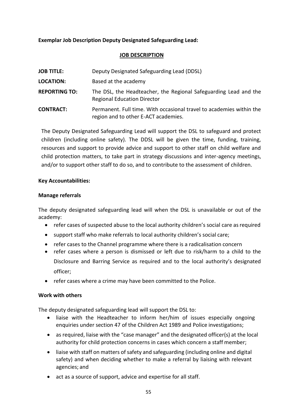#### **Exemplar Job Description Deputy Designated Safeguarding Lead:**

#### **JOB DESCRIPTION**

| <b>JOB TITLE:</b>    | Deputy Designated Safeguarding Lead (DDSL)                                                                   |
|----------------------|--------------------------------------------------------------------------------------------------------------|
| <b>LOCATION:</b>     | Based at the academy                                                                                         |
| <b>REPORTING TO:</b> | The DSL, the Headteacher, the Regional Safeguarding Lead and the<br><b>Regional Education Director</b>       |
| <b>CONTRACT:</b>     | Permanent. Full time. With occasional travel to academies within the<br>region and to other E-ACT academies. |

The Deputy Designated Safeguarding Lead will support the DSL to safeguard and protect children (including online safety). The DDSL will be given the time, funding, training, resources and support to provide advice and support to other staff on child welfare and child protection matters, to take part in strategy discussions and inter-agency meetings, and/or to support other staff to do so, and to contribute to the assessment of children.

#### **Key Accountabilities:**

#### **Manage referrals**

The deputy designated safeguarding lead will when the DSL is unavailable or out of the academy:

- refer cases of suspected abuse to the local authority children's social care as required
- support staff who make referrals to local authority children's social care;
- refer cases to the Channel programme where there is a radicalisation concern
- refer cases where a person is dismissed or left due to risk/harm to a child to the Disclosure and Barring Service as required and to the local authority's designated officer;
- refer cases where a crime may have been committed to the Police.

#### **Work with others**

The deputy designated safeguarding lead will support the DSL to:

- liaise with the Headteacher to inform her/him of issues especially ongoing enquiries under section 47 of the Children Act 1989 and Police investigations;
- as required, liaise with the "case manager" and the designated officer(s) at the local authority for child protection concerns in cases which concern a staff member;
- liaise with staff on matters of safety and safeguarding (including online and digital safety) and when deciding whether to make a referral by liaising with relevant agencies; and
- act as a source of support, advice and expertise for all staff.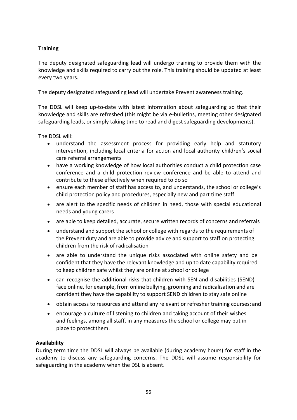### **Training**

The deputy designated safeguarding lead will undergo training to provide them with the knowledge and skills required to carry out the role. This training should be updated at least every two years.

The deputy designated safeguarding lead will undertake Prevent awareness training.

The DDSL will keep up-to-date with latest information about safeguarding so that their knowledge and skills are refreshed (this might be via e-bulletins, meeting other designated safeguarding leads, or simply taking time to read and digest safeguarding developments).

The DDSL will:

- understand the assessment process for providing early help and statutory intervention, including local criteria for action and local authority children's social care referral arrangements
- have a working knowledge of how local authorities conduct a child protection case conference and a child protection review conference and be able to attend and contribute to these effectively when required to do so
- ensure each member of staff has access to, and understands, the school or college's child protection policy and procedures, especially new and part time staff
- are alert to the specific needs of children in need, those with special educational needs and young carers
- are able to keep detailed, accurate, secure written records of concerns and referrals
- understand and support the school or college with regards to the requirements of the Prevent duty and are able to provide advice and support to staff on protecting children from the risk of radicalisation
- are able to understand the unique risks associated with online safety and be confident that they have the relevant knowledge and up to date capability required to keep children safe whilst they are online at school or college
- can recognise the additional risks that children with SEN and disabilities (SEND) face online, for example, from online bullying, grooming and radicalisation and are confident they have the capability to support SEND children to stay safe online
- obtain access to resources and attend any relevant or refresher training courses; and
- encourage a culture of listening to children and taking account of their wishes and feelings, among all staff, in any measures the school or college may put in place to protect them.

#### **Availability**

During term time the DDSL will always be available (during academy hours) for staff in the academy to discuss any safeguarding concerns. The DDSL will assume responsibility for safeguarding in the academy when the DSL is absent.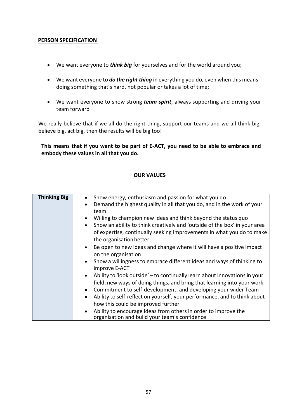#### **PERSON SPECIFICATION**

- We want everyone to *think big* for yourselves and for the world around you;
- We want everyone to *do the right thing* in everything you do, even when this means doing something that's hard, not popular or takes a lot of time;
- We want everyone to show strong *team spirit*, always supporting and driving your team forward

We really believe that if we all do the right thing, support our teams and we all think big, believe big, act big, then the results will be big too!

**This means that if you want to be part of E-ACT, you need to be able to embrace and embody these values in all that you do.**

#### **OUR VALUES**

| <b>Thinking Big</b> | Show energy, enthusiasm and passion for what you do                                                                          |
|---------------------|------------------------------------------------------------------------------------------------------------------------------|
|                     | Demand the highest quality in all that you do, and in the work of your<br>$\bullet$                                          |
|                     | team<br>Willing to champion new ideas and think beyond the status quo<br>$\bullet$                                           |
|                     | Show an ability to think creatively and 'outside of the box' in your area<br>$\bullet$                                       |
|                     | of expertise, continually seeking improvements in what you do to make<br>the organisation better                             |
|                     | Be open to new ideas and change where it will have a positive impact<br>$\bullet$<br>on the organisation                     |
|                     | Show a willingness to embrace different ideas and ways of thinking to<br>$\bullet$<br>improve E-ACT                          |
|                     | Ability to 'look outside' - to continually learn about innovations in your<br>$\bullet$                                      |
|                     | field, new ways of doing things, and bring that learning into your work                                                      |
|                     | Commitment to self-development, and developing your wider Team<br>$\bullet$                                                  |
|                     | Ability to self-reflect on yourself, your performance, and to think about<br>$\bullet$                                       |
|                     | how this could be improved further                                                                                           |
|                     | Ability to encourage ideas from others in order to improve the<br>$\bullet$<br>organisation and build your team's confidence |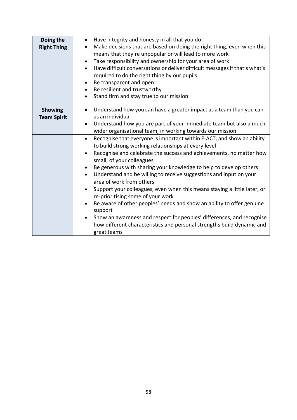| Doing the<br><b>Right Thing</b> | Have integrity and honesty in all that you do<br>$\bullet$<br>Make decisions that are based on doing the right thing, even when this<br>means that they're unpopular or will lead to more work<br>Take responsibility and ownership for your area of work<br>Have difficult conversations or deliver difficult messages if that's what's<br>$\bullet$<br>required to do the right thing by our pupils<br>Be transparent and open<br>Be resilient and trustworthy<br>Stand firm and stay true to our mission |
|---------------------------------|-------------------------------------------------------------------------------------------------------------------------------------------------------------------------------------------------------------------------------------------------------------------------------------------------------------------------------------------------------------------------------------------------------------------------------------------------------------------------------------------------------------|
| <b>Showing</b>                  | Understand how you can have a greater impact as a team than you can<br>as an individual                                                                                                                                                                                                                                                                                                                                                                                                                     |
| <b>Team Spirit</b>              | Understand how you are part of your immediate team but also a much                                                                                                                                                                                                                                                                                                                                                                                                                                          |
|                                 | wider organisational team, in working towards our mission                                                                                                                                                                                                                                                                                                                                                                                                                                                   |
|                                 | Recognise that everyone is important within E-ACT, and show an ability<br>$\bullet$                                                                                                                                                                                                                                                                                                                                                                                                                         |
|                                 | to build strong working relationships at every level                                                                                                                                                                                                                                                                                                                                                                                                                                                        |
|                                 | Recognise and celebrate the success and achievements, no matter how<br>small, of your colleagues                                                                                                                                                                                                                                                                                                                                                                                                            |
|                                 | Be generous with sharing your knowledge to help to develop others                                                                                                                                                                                                                                                                                                                                                                                                                                           |
|                                 | Understand and be willing to receive suggestions and input on your<br>area of work from others                                                                                                                                                                                                                                                                                                                                                                                                              |
|                                 | Support your colleagues, even when this means staying a little later, or<br>$\bullet$<br>re-prioritising some of your work                                                                                                                                                                                                                                                                                                                                                                                  |
|                                 | Be aware of other peoples' needs and show an ability to offer genuine<br>support                                                                                                                                                                                                                                                                                                                                                                                                                            |
|                                 | Show an awareness and respect for peoples' differences, and recognise                                                                                                                                                                                                                                                                                                                                                                                                                                       |
|                                 | how different characteristics and personal strengths build dynamic and<br>great teams                                                                                                                                                                                                                                                                                                                                                                                                                       |
|                                 |                                                                                                                                                                                                                                                                                                                                                                                                                                                                                                             |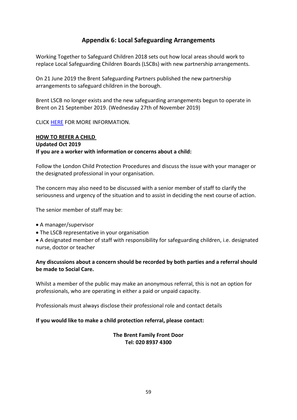## **Appendix 6: Local Safeguarding Arrangements**

Working Together to Safeguard Children 2018 sets out how local areas should work to replace Local Safeguarding Children Boards (LSCBs) with new partnership arrangements.

On 21 June 2019 the Brent Safeguarding Partners published the new partnership arrangements to safeguard children in the borough.

Brent LSCB no longer exists and the new safeguarding arrangements begun to operate in Brent on 21 September 2019. (Wednesday 27th of November 2019)

CLICK [HERE](https://media.inzu.net/f9e1fab6a6c10d044839fb1bee0a4704/mysite/articles/465/Final_Brent_Safeguarding_Arrangements_2019.pdf) FOR MORE INFORMATION.

#### **HOW TO REFER A CHILD Updated Oct 2019 If you are a worker with information or concerns about a child:**

Follow the London Child Protection Procedures and discuss the issue with your manager or the designated professional in your organisation.

The concern may also need to be discussed with a senior member of staff to clarify the seriousness and urgency of the situation and to assist in deciding the next course of action.

The senior member of staff may be:

- A manager/supervisor
- The LSCB representative in your organisation

• A designated member of staff with responsibility for safeguarding children, i.e. designated nurse, doctor or teacher

#### **Any discussions about a concern should be recorded by both parties and a referral should be made to Social Care.**

Whilst a member of the public may make an anonymous referral, this is not an option for professionals, who are operating in either a paid or unpaid capacity.

Professionals must always disclose their professional role and contact details

#### **If you would like to make a child protection referral, please contact:**

**The Brent Family Front Door Tel: 020 8937 4300**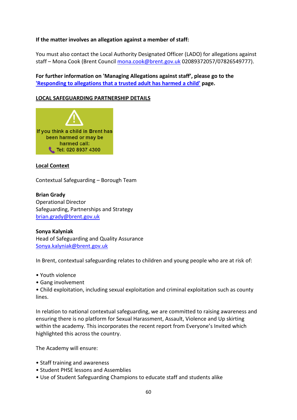#### **If the matter involves an allegation against a member of staff:**

You must also contact the Local Authority Designated Officer (LADO) for allegations against staff - Mona Cook (Brent Council [mona.cook@brent.gov.uk](mailto:mona.cook@brent.gov.uk) 02089372057/07826549777).

**For further information on 'Managing Allegations against staff', please go to the ['Responding to allegations that a trusted adult has harmed a child'](https://brentsafeguardingpartnerships.uk/children/article.php?id=453&menu=3&sub_menu=1) page.** 

#### **LOCAL SAFEGUARDING PARTNERSHIP DETAILS**



#### **Local Context**

Contextual Safeguarding – Borough Team

**Brian Grady**  Operational Director Safeguarding, Partnerships and Strategy [brian.grady@brent.gov.uk](mailto:brian.grady@brent.gov.uk)

**Sonya Kalyniak**  Head of Safeguarding and Quality Assurance [Sonya.kalyniak@brent.gov.uk](mailto:Sonya.kalyniak@brent.gov.uk)

In Brent, contextual safeguarding relates to children and young people who are at risk of:

- Youth violence
- Gang involvement

• Child exploitation, including sexual exploitation and criminal exploitation such as county lines.

In relation to national contextual safeguarding, we are committed to raising awareness and ensuring there is no platform for Sexual Harassment, Assault, Violence and Up skirting within the academy. This incorporates the recent report from Everyone's Invited which highlighted this across the country.

The Academy will ensure:

- Staff training and awareness
- Student PHSE lessons and Assemblies
- Use of Student Safeguarding Champions to educate staff and students alike